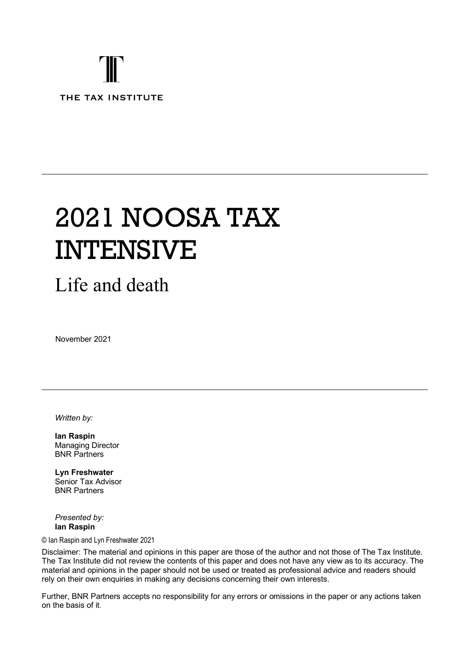# THE TAX INSTITUTE

# 2021 NOOSA TAX INTENSIVE

# Life and death

November 2021

*Written by:*

**Ian Raspin**  Managing Director BNR Partners

**Lyn Freshwater** Senior Tax Advisor BNR Partners

*Presented by:* **Ian Raspin**

#### © Ian Raspin and Lyn Freshwater 2021

Disclaimer: The material and opinions in this paper are those of the author and not those of The Tax Institute. The Tax Institute did not review the contents of this paper and does not have any view as to its accuracy. The material and opinions in the paper should not be used or treated as professional advice and readers should rely on their own enquiries in making any decisions concerning their own interests.

Further, BNR Partners accepts no responsibility for any errors or omissions in the paper or any actions taken on the basis of it.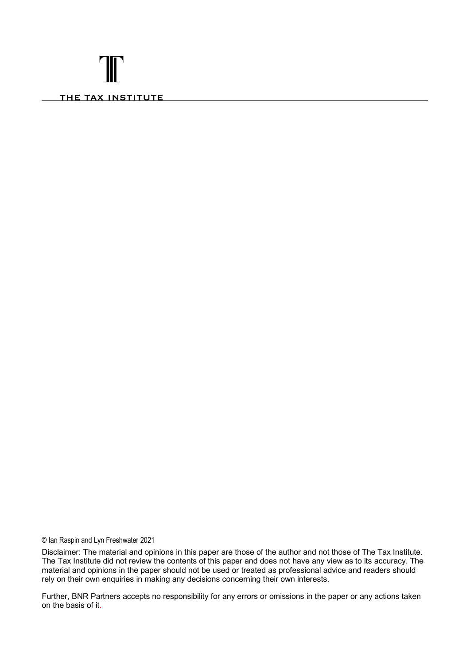# T THE TAX INSTITUTE

© Ian Raspin and Lyn Freshwater 2021

Disclaimer: The material and opinions in this paper are those of the author and not those of The Tax Institute. The Tax Institute did not review the contents of this paper and does not have any view as to its accuracy. The material and opinions in the paper should not be used or treated as professional advice and readers should rely on their own enquiries in making any decisions concerning their own interests.

Further, BNR Partners accepts no responsibility for any errors or omissions in the paper or any actions taken on the basis of it.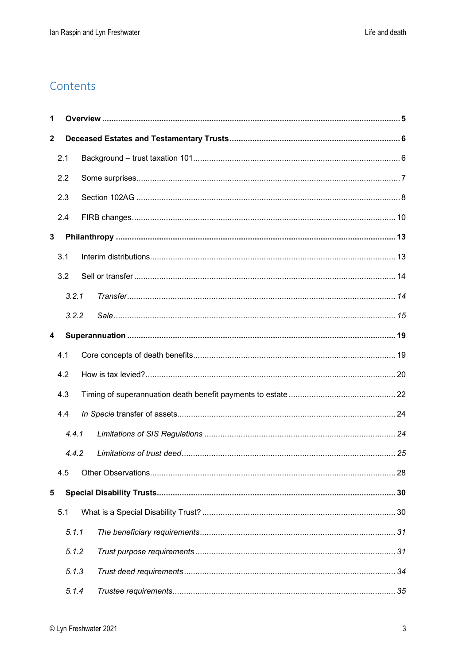### Contents

| 1            |     |       |  |  |
|--------------|-----|-------|--|--|
| $\mathbf{2}$ |     |       |  |  |
|              | 2.1 |       |  |  |
|              | 2.2 |       |  |  |
|              | 2.3 |       |  |  |
|              | 2.4 |       |  |  |
| 3            |     |       |  |  |
|              | 3.1 |       |  |  |
|              | 3.2 |       |  |  |
|              |     | 3.2.1 |  |  |
|              |     | 3.2.2 |  |  |
| 4            |     |       |  |  |
|              | 4.1 |       |  |  |
|              | 4.2 |       |  |  |
|              | 4.3 |       |  |  |
|              | 4.4 |       |  |  |
|              |     | 4.4.1 |  |  |
|              |     | 4.4.2 |  |  |
|              | 4.5 |       |  |  |
| 5            |     |       |  |  |
|              | 5.1 |       |  |  |
|              |     | 5.1.1 |  |  |
|              |     | 5.1.2 |  |  |
|              |     | 5.1.3 |  |  |
|              |     | 5.1.4 |  |  |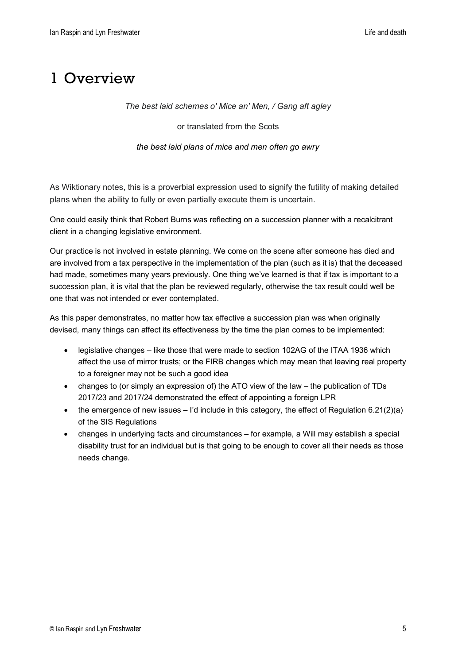# <span id="page-4-0"></span>1 Overview

*The best laid schemes o' Mice an' Men, / Gang aft agley* 

or translated from the Scots

*[the best laid plans of mice and men often go awry](https://en.wiktionary.org/wiki/the_best_laid_plans_of_mice_and_men_often_go_awry)*

As Wiktionary notes, this is a proverbial expression used to signify the futility of making detailed plans when the ability to fully or even partially execute them is uncertain.

One could easily think that Robert Burns was reflecting on a succession planner with a recalcitrant client in a changing legislative environment.

Our practice is not involved in estate planning. We come on the scene after someone has died and are involved from a tax perspective in the implementation of the plan (such as it is) that the deceased had made, sometimes many years previously. One thing we've learned is that if tax is important to a succession plan, it is vital that the plan be reviewed regularly, otherwise the tax result could well be one that was not intended or ever contemplated.

As this paper demonstrates, no matter how tax effective a succession plan was when originally devised, many things can affect its effectiveness by the time the plan comes to be implemented:

- legislative changes like those that were made to section 102AG of the ITAA 1936 which affect the use of mirror trusts; or the FIRB changes which may mean that leaving real property to a foreigner may not be such a good idea
- changes to (or simply an expression of) the ATO view of the law the publication of TDs 2017/23 and 2017/24 demonstrated the effect of appointing a foreign LPR
- the emergence of new issues  $-1$ 'd include in this category, the effect of Regulation 6.21(2)(a) of the SIS Regulations
- changes in underlying facts and circumstances for example, a Will may establish a special disability trust for an individual but is that going to be enough to cover all their needs as those needs change.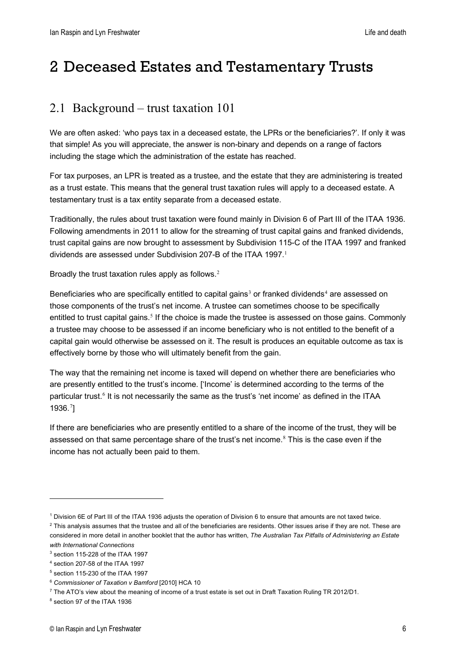# <span id="page-5-0"></span>2 Deceased Estates and Testamentary Trusts

# <span id="page-5-1"></span>2.1 Background – trust taxation 101

We are often asked: 'who pays tax in a deceased estate, the LPRs or the beneficiaries?'. If only it was that simple! As you will appreciate, the answer is non-binary and depends on a range of factors including the stage which the administration of the estate has reached.

For tax purposes, an LPR is treated as a trustee, and the estate that they are administering is treated as a trust estate. This means that the general trust taxation rules will apply to a deceased estate. A testamentary trust is a tax entity separate from a deceased estate.

Traditionally, the rules about trust taxation were found mainly in Division 6 of Part III of the ITAA 1936. Following amendments in 2011 to allow for the streaming of trust capital gains and franked dividends, trust capital gains are now brought to assessment by Subdivision 115-C of the ITAA 1997 and franked dividends are assessed under Subdivision 207-B of the ITAA [1](#page-5-2)997.<sup>1</sup>

Broadly the trust taxation rules apply as follows.<sup>[2](#page-5-3)</sup>

Beneficiaries who are specifically entitled to capital gains<sup>[3](#page-5-4)</sup> or franked dividends<sup>[4](#page-5-5)</sup> are assessed on those components of the trust's net income. A trustee can sometimes choose to be specifically entitled to trust capital gains.<sup>[5](#page-5-6)</sup> If the choice is made the trustee is assessed on those gains. Commonly a trustee may choose to be assessed if an income beneficiary who is not entitled to the benefit of a capital gain would otherwise be assessed on it. The result is produces an equitable outcome as tax is effectively borne by those who will ultimately benefit from the gain.

The way that the remaining net income is taxed will depend on whether there are beneficiaries who are presently entitled to the trust's income. ['Income' is determined according to the terms of the particular trust.<sup>[6](#page-5-7)</sup> It is not necessarily the same as the trust's 'net income' as defined in the ITAA 1936.[7](#page-5-8)]

If there are beneficiaries who are presently entitled to a share of the income of the trust, they will be assessed on that same percentage share of the trust's net income.[8](#page-5-9) This is the case even if the income has not actually been paid to them.

<span id="page-5-8"></span><sup>7</sup> The ATO's view about the meaning of income of a trust estate is set out in Draft Taxation Ruling TR 2012/D1.

<span id="page-5-2"></span><sup>1</sup> Division 6E of Part III of the ITAA 1936 adjusts the operation of Division 6 to ensure that amounts are not taxed twice.

<span id="page-5-3"></span> $2$  This analysis assumes that the trustee and all of the beneficiaries are residents. Other issues arise if they are not. These are considered in more detail in another booklet that the author has written, *The Australian Tax Pitfalls of Administering an Estate with International Connections*

<span id="page-5-4"></span><sup>3</sup> section 115-228 of the ITAA 1997

<span id="page-5-5"></span><sup>4</sup> section 207-58 of the ITAA 1997

<span id="page-5-6"></span><sup>5</sup> section 115-230 of the ITAA 1997

<span id="page-5-7"></span><sup>6</sup> *Commissioner of Taxation v Bamford* [2010] HCA 10

<span id="page-5-9"></span><sup>8</sup> section 97 of the ITAA 1936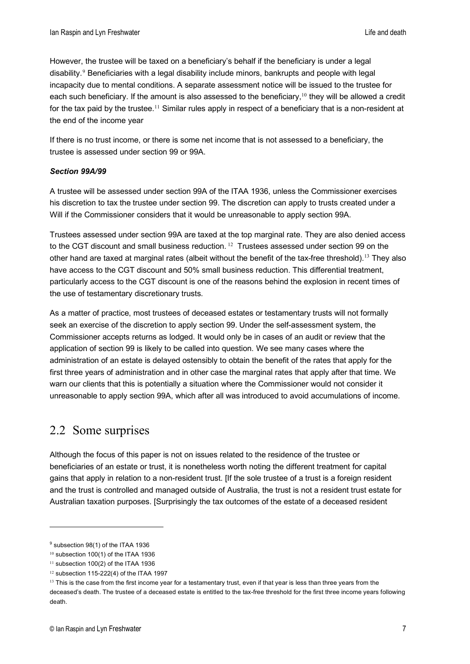However, the trustee will be taxed on a beneficiary's behalf if the beneficiary is under a legal disability.<sup>[9](#page-6-1)</sup> Beneficiaries with a legal disability include minors, bankrupts and people with legal incapacity due to mental conditions. A separate assessment notice will be issued to the trustee for each such beneficiary. If the amount is also assessed to the beneficiary,  $10$  they will be allowed a credit for the tax paid by the trustee.<sup>[11](#page-6-3)</sup> Similar rules apply in respect of a beneficiary that is a non-resident at the end of the income year

If there is no trust income, or there is some net income that is not assessed to a beneficiary, the trustee is assessed under section 99 or 99A.

#### *Section 99A/99*

A trustee will be assessed under section 99A of the ITAA 1936, unless the Commissioner exercises his discretion to tax the trustee under section 99. The discretion can apply to trusts created under a Will if the Commissioner considers that it would be unreasonable to apply section 99A.

Trustees assessed under section 99A are taxed at the top marginal rate. They are also denied access to the CGT discount and small business reduction.  $12$  Trustees assessed under section 99 on the other hand are taxed at marginal rates (albeit without the benefit of the tax-free threshold).[13](#page-6-5) They also have access to the CGT discount and 50% small business reduction. This differential treatment, particularly access to the CGT discount is one of the reasons behind the explosion in recent times of the use of testamentary discretionary trusts.

As a matter of practice, most trustees of deceased estates or testamentary trusts will not formally seek an exercise of the discretion to apply section 99. Under the self-assessment system, the Commissioner accepts returns as lodged. It would only be in cases of an audit or review that the application of section 99 is likely to be called into question. We see many cases where the administration of an estate is delayed ostensibly to obtain the benefit of the rates that apply for the first three years of administration and in other case the marginal rates that apply after that time. We warn our clients that this is potentially a situation where the Commissioner would not consider it unreasonable to apply section 99A, which after all was introduced to avoid accumulations of income.

### <span id="page-6-0"></span>2.2 Some surprises

Although the focus of this paper is not on issues related to the residence of the trustee or beneficiaries of an estate or trust, it is nonetheless worth noting the different treatment for capital gains that apply in relation to a non-resident trust. [If the sole trustee of a trust is a foreign resident and the trust is controlled and managed outside of Australia, the trust is not a resident trust estate for Australian taxation purposes. [Surprisingly the tax outcomes of the estate of a deceased resident

<span id="page-6-1"></span><sup>9</sup> subsection 98(1) of the ITAA 1936

<span id="page-6-2"></span> $10$  subsection 100(1) of the ITAA 1936

<span id="page-6-3"></span> $11$  subsection 100(2) of the ITAA 1936

<span id="page-6-4"></span><sup>12</sup> subsection 115-222(4) of the ITAA 1997

<span id="page-6-5"></span><sup>&</sup>lt;sup>13</sup> This is the case from the first income year for a testamentary trust, even if that year is less than three years from the deceased's death. The trustee of a deceased estate is entitled to the tax-free threshold for the first three income years following death.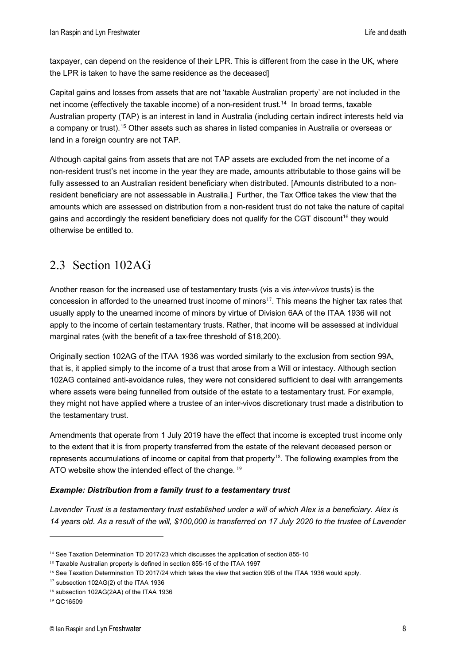taxpayer, can depend on the residence of their LPR. This is different from the case in the UK, where the LPR is taken to have the same residence as the deceased]

Capital gains and losses from assets that are not 'taxable Australian property' are not included in the net income (effectively the taxable income) of a non-resident trust.<sup>[14](#page-7-1)</sup> In broad terms, taxable Australian property (TAP) is an interest in land in Australia (including certain indirect interests held via a company or trust).<sup>[15](#page-7-2)</sup> Other assets such as shares in listed companies in Australia or overseas or land in a foreign country are not TAP.

Although capital gains from assets that are not TAP assets are excluded from the net income of a non-resident trust's net income in the year they are made, amounts attributable to those gains will be fully assessed to an Australian resident beneficiary when distributed. [Amounts distributed to a nonresident beneficiary are not assessable in Australia.] Further, the Tax Office takes the view that the amounts which are assessed on distribution from a non-resident trust do not take the nature of capital gains and accordingly the resident beneficiary does not qualify for the CGT discount<sup>16</sup> they would otherwise be entitled to.

# <span id="page-7-0"></span>2.3 Section 102AG

Another reason for the increased use of testamentary trusts (vis a vis *inter-vivos* trusts) is the concession in afforded to the unearned trust income of minors<sup>[17](#page-7-4)</sup>. This means the higher tax rates that usually apply to the unearned income of minors by virtue of Division 6AA of the ITAA 1936 will not apply to the income of certain testamentary trusts. Rather, that income will be assessed at individual marginal rates (with the benefit of a tax-free threshold of \$18,200).

Originally section 102AG of the ITAA 1936 was worded similarly to the exclusion from section 99A, that is, it applied simply to the income of a trust that arose from a Will or intestacy. Although section 102AG contained anti-avoidance rules, they were not considered sufficient to deal with arrangements where assets were being funnelled from outside of the estate to a testamentary trust. For example, they might not have applied where a trustee of an inter-vivos discretionary trust made a distribution to the testamentary trust.

Amendments that operate from 1 July 2019 have the effect that income is excepted trust income only to the extent that it is from property transferred from the estate of the relevant deceased person or represents accumulations of income or capital from that property<sup>[18](#page-7-5)</sup>. The following examples from the ATO website show the intended effect of the change. <sup>[19](#page-7-6)</sup>

#### *Example: Distribution from a family trust to a testamentary trust*

*Lavender Trust is a testamentary trust established under a will of which Alex is a beneficiary. Alex is 14 years old. As a result of the will, \$100,000 is transferred on 17 July 2020 to the trustee of Lavender* 

<span id="page-7-1"></span><sup>&</sup>lt;sup>14</sup> See Taxation Determination TD 2017/23 which discusses the application of section 855-10

<span id="page-7-2"></span><sup>15</sup> Taxable Australian property is defined in section 855-15 of the ITAA 1997

<span id="page-7-3"></span><sup>16</sup> See Taxation Determination TD 2017/24 which takes the view that section 99B of the ITAA 1936 would apply.

<span id="page-7-4"></span><sup>17</sup> subsection 102AG(2) of the ITAA 1936

<span id="page-7-5"></span><sup>18</sup> subsection 102AG(2AA) of the ITAA 1936

<span id="page-7-6"></span><sup>19</sup> QC16509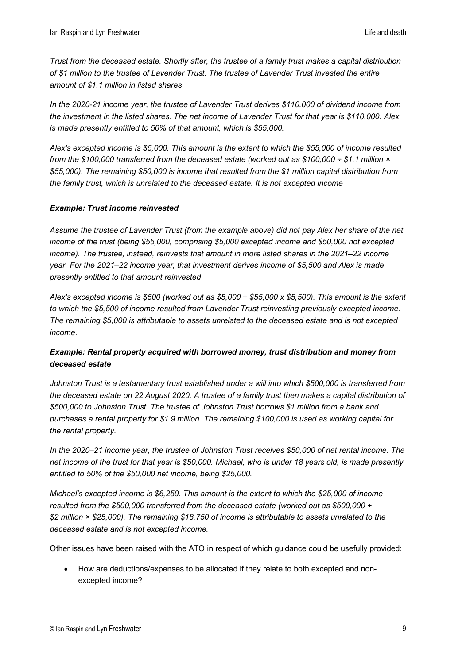*Trust from the deceased estate. Shortly after, the trustee of a family trust makes a capital distribution of \$1 million to the trustee of Lavender Trust. The trustee of Lavender Trust invested the entire amount of \$1.1 million in listed shares*

*In the 2020-21 income year, the trustee of Lavender Trust derives \$110,000 of dividend income from the investment in the listed shares. The net income of Lavender Trust for that year is \$110,000. Alex is made presently entitled to 50% of that amount, which is \$55,000.*

*Alex's excepted income is \$5,000. This amount is the extent to which the \$55,000 of income resulted from the \$100,000 transferred from the deceased estate (worked out as \$100,000 ÷ \$1.1 million × \$55,000). The remaining \$50,000 is income that resulted from the \$1 million capital distribution from the family trust, which is unrelated to the deceased estate. It is not excepted income*

#### *Example: Trust income reinvested*

*Assume the trustee of Lavender Trust (from the example above) did not pay Alex her share of the net income of the trust (being \$55,000, comprising \$5,000 excepted income and \$50,000 not excepted income). The trustee, instead, reinvests that amount in more listed shares in the 2021–22 income year. For the 2021–22 income year, that investment derives income of \$5,500 and Alex is made presently entitled to that amount reinvested*

*Alex's excepted income is \$500 (worked out as \$5,000 ÷ \$55,000 x \$5,500). This amount is the extent to which the \$5,500 of income resulted from Lavender Trust reinvesting previously excepted income. The remaining \$5,000 is attributable to assets unrelated to the deceased estate and is not excepted income.*

#### *Example: Rental property acquired with borrowed money, trust distribution and money from deceased estate*

*Johnston Trust is a testamentary trust established under a will into which \$500,000 is transferred from the deceased estate on 22 August 2020. A trustee of a family trust then makes a capital distribution of \$500,000 to Johnston Trust. The trustee of Johnston Trust borrows \$1 million from a bank and purchases a rental property for \$1.9 million. The remaining \$100,000 is used as working capital for the rental property.*

*In the 2020–21 income year, the trustee of Johnston Trust receives \$50,000 of net rental income. The net income of the trust for that year is \$50,000. Michael, who is under 18 years old, is made presently entitled to 50% of the \$50,000 net income, being \$25,000.*

*Michael's excepted income is \$6,250. This amount is the extent to which the \$25,000 of income resulted from the \$500,000 transferred from the deceased estate (worked out as \$500,000 ÷ \$2 million × \$25,000). The remaining \$18,750 of income is attributable to assets unrelated to the deceased estate and is not excepted income.*

Other issues have been raised with the ATO in respect of which guidance could be usefully provided:

• How are deductions/expenses to be allocated if they relate to both excepted and nonexcepted income?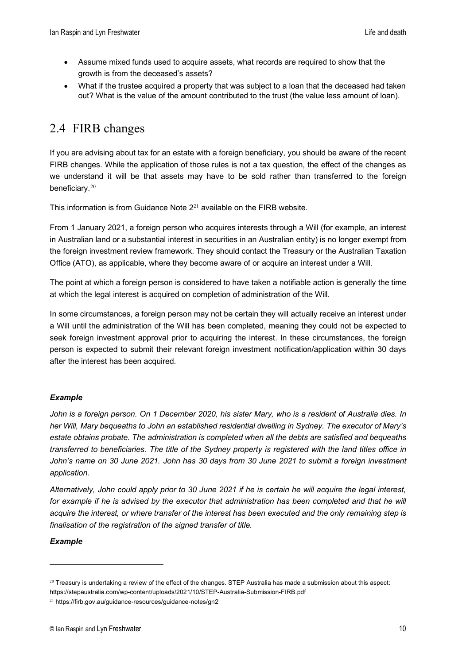- Assume mixed funds used to acquire assets, what records are required to show that the growth is from the deceased's assets?
- What if the trustee acquired a property that was subject to a loan that the deceased had taken out? What is the value of the amount contributed to the trust (the value less amount of loan).

# <span id="page-9-0"></span>2.4 FIRB changes

If you are advising about tax for an estate with a foreign beneficiary, you should be aware of the recent FIRB changes. While the application of those rules is not a tax question, the effect of the changes as we understand it will be that assets may have to be sold rather than transferred to the foreign beneficiary.[20](#page-9-1)

This information is from Guidance Note  $2^{21}$  $2^{21}$  $2^{21}$  available on the FIRB website.

From 1 January 2021, a foreign person who acquires interests through a Will (for example, an interest in Australian land or a substantial interest in securities in an Australian entity) is no longer exempt from the foreign investment review framework. They should contact the Treasury or the Australian Taxation Office (ATO), as applicable, where they become aware of or acquire an interest under a Will.

The point at which a foreign person is considered to have taken a notifiable action is generally the time at which the legal interest is acquired on completion of administration of the Will.

In some circumstances, a foreign person may not be certain they will actually receive an interest under a Will until the administration of the Will has been completed, meaning they could not be expected to seek foreign investment approval prior to acquiring the interest. In these circumstances, the foreign person is expected to submit their relevant foreign investment notification/application within 30 days after the interest has been acquired.

#### *Example*

*John is a foreign person. On 1 December 2020, his sister Mary, who is a resident of Australia dies. In her Will, Mary bequeaths to John an established residential dwelling in Sydney. The executor of Mary's estate obtains probate. The administration is completed when all the debts are satisfied and bequeaths transferred to beneficiaries. The title of the Sydney property is registered with the land titles office in*  John's name on 30 June 2021. John has 30 days from 30 June 2021 to submit a foreign investment *application.* 

*Alternatively, John could apply prior to 30 June 2021 if he is certain he will acquire the legal interest,*  for example if he is advised by the executor that administration has been completed and that he will *acquire the interest, or where transfer of the interest has been executed and the only remaining step is finalisation of the registration of the signed transfer of title.*

#### *Example*

<span id="page-9-1"></span><sup>20</sup> Treasury is undertaking a review of the effect of the changes. STEP Australia has made a submission about this aspect: https://stepaustralia.com/wp-content/uploads/2021/10/STEP-Australia-Submission-FIRB.pdf

<span id="page-9-2"></span><sup>21</sup> https://firb.gov.au/guidance-resources/guidance-notes/gn2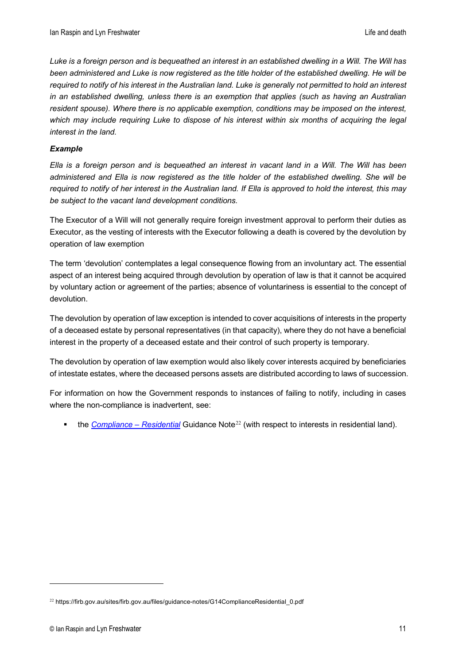*Luke is a foreign person and is bequeathed an interest in an established dwelling in a Will. The Will has been administered and Luke is now registered as the title holder of the established dwelling. He will be*  required to notify of his interest in the Australian land. Luke is generally not permitted to hold an interest *in an established dwelling, unless there is an exemption that applies (such as having an Australian resident spouse). Where there is no applicable exemption, conditions may be imposed on the interest,*  which may include requiring Luke to dispose of his interest within six months of acquiring the legal *interest in the land.*

#### *Example*

*Ella is a foreign person and is bequeathed an interest in vacant land in a Will. The Will has been administered and Ella is now registered as the title holder of the established dwelling. She will be required to notify of her interest in the Australian land. If Ella is approved to hold the interest, this may be subject to the vacant land development conditions.*

The Executor of a Will will not generally require foreign investment approval to perform their duties as Executor, as the vesting of interests with the Executor following a death is covered by the devolution by operation of law exemption

The term 'devolution' contemplates a legal consequence flowing from an involuntary act. The essential aspect of an interest being acquired through devolution by operation of law is that it cannot be acquired by voluntary action or agreement of the parties; absence of voluntariness is essential to the concept of devolution.

The devolution by operation of law exception is intended to cover acquisitions of interests in the property of a deceased estate by personal representatives (in that capacity), where they do not have a beneficial interest in the property of a deceased estate and their control of such property is temporary.

The devolution by operation of law exemption would also likely cover interests acquired by beneficiaries of intestate estates, where the deceased persons assets are distributed according to laws of succession.

For information on how the Government responds to instances of failing to notify, including in cases where the non-compliance is inadvertent, see:

the *[Compliance –](https://firb.gov.au/sites/firb.gov.au/files/guidance-notes/G14ComplianceResidential_0.pdf) Residential* Guidance Note[22](#page-10-0) (with respect to interests in residential land).

<span id="page-10-0"></span><sup>&</sup>lt;sup>22</sup> https://firb.gov.au/sites/firb.gov.au/files/guidance-notes/G14ComplianceResidential 0.pdf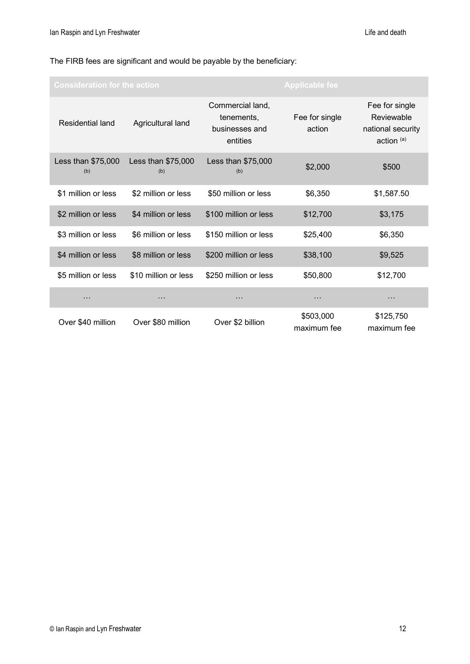#### The FIRB fees are significant and would be payable by the beneficiary:

| <b>Consideration for the action</b> |                           | <b>Applicable fee</b>                                        |                          |                                                                            |
|-------------------------------------|---------------------------|--------------------------------------------------------------|--------------------------|----------------------------------------------------------------------------|
| <b>Residential land</b>             | Agricultural land         | Commercial land,<br>tenements,<br>businesses and<br>entities | Fee for single<br>action | Fee for single<br>Reviewable<br>national security<br>action <sup>(a)</sup> |
| Less than \$75,000<br>(b)           | Less than \$75,000<br>(b) | Less than \$75,000<br>(b)                                    | \$2,000                  | \$500                                                                      |
| \$1 million or less                 | \$2 million or less       | \$50 million or less                                         | \$6,350                  | \$1,587.50                                                                 |
| \$2 million or less                 | \$4 million or less       | \$100 million or less                                        | \$12,700                 | \$3,175                                                                    |
| \$3 million or less                 | \$6 million or less       | \$150 million or less                                        | \$25,400                 | \$6,350                                                                    |
| \$4 million or less                 | \$8 million or less       | \$200 million or less                                        | \$38,100                 | \$9,525                                                                    |
| \$5 million or less                 | \$10 million or less      | \$250 million or less                                        | \$50,800                 | \$12,700                                                                   |
| .                                   | $\ddotsc$                 | $\cdots$                                                     | $\cdots$                 | $\cdots$                                                                   |
| Over \$40 million                   | Over \$80 million         | Over \$2 billion                                             | \$503,000<br>maximum fee | \$125,750<br>maximum fee                                                   |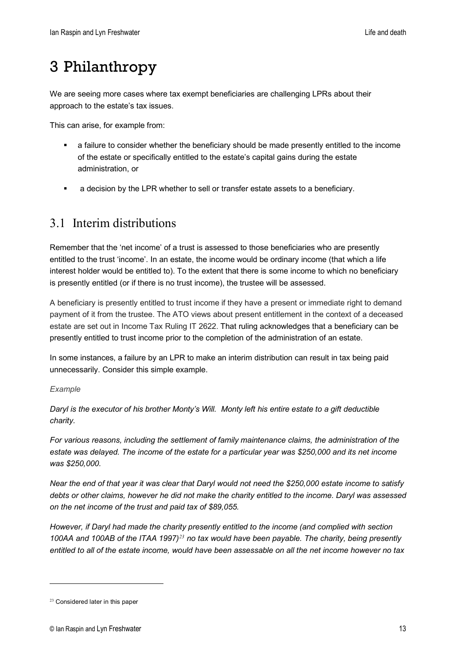# <span id="page-12-0"></span>3 Philanthropy

We are seeing more cases where tax exempt beneficiaries are challenging LPRs about their approach to the estate's tax issues.

This can arise, for example from:

- a failure to consider whether the beneficiary should be made presently entitled to the income of the estate or specifically entitled to the estate's capital gains during the estate administration, or
- a decision by the LPR whether to sell or transfer estate assets to a beneficiary.

# <span id="page-12-1"></span>3.1 Interim distributions

Remember that the 'net income' of a trust is assessed to those beneficiaries who are presently entitled to the trust 'income'. In an estate, the income would be ordinary income (that which a life interest holder would be entitled to). To the extent that there is some income to which no beneficiary is presently entitled (or if there is no trust income), the trustee will be assessed.

A beneficiary is presently entitled to trust income if they have a present or immediate right to demand payment of it from the trustee. The ATO views about present entitlement in the context of a deceased estate are set out in Income Tax Ruling IT 2622. That ruling acknowledges that a beneficiary can be presently entitled to trust income prior to the completion of the administration of an estate.

In some instances, a failure by an LPR to make an interim distribution can result in tax being paid unnecessarily. Consider this simple example.

#### *Example*

*Daryl is the executor of his brother Monty's Will. Monty left his entire estate to a gift deductible charity.* 

*For various reasons, including the settlement of family maintenance claims, the administration of the*  estate was delayed. The income of the estate for a particular year was \$250,000 and its net income *was \$250,000.*

*Near the end of that year it was clear that Daryl would not need the \$250,000 estate income to satisfy debts or other claims, however he did not make the charity entitled to the income. Daryl was assessed on the net income of the trust and paid tax of \$89,055.* 

*However, if Daryl had made the charity presently entitled to the income (and complied with section 100AA and 100AB of the ITAA 1997)[23](#page-12-2) no tax would have been payable. The charity, being presently entitled to all of the estate income, would have been assessable on all the net income however no tax* 

<span id="page-12-2"></span><sup>23</sup> Considered later in this paper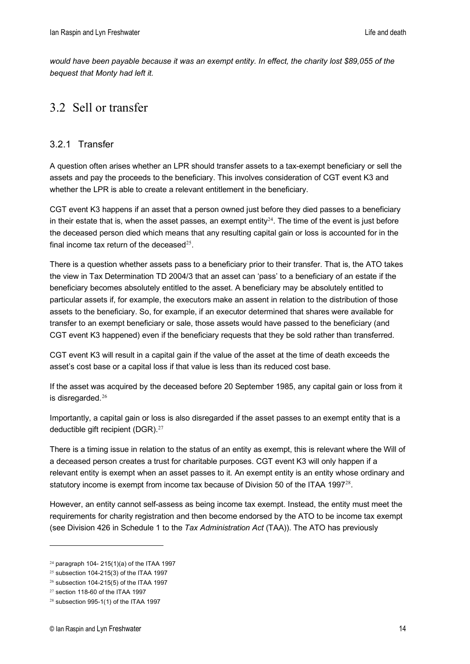*would have been payable because it was an exempt entity. In effect, the charity lost \$89,055 of the bequest that Monty had left it.*

# <span id="page-13-0"></span>3.2 Sell or transfer

#### <span id="page-13-1"></span>3.2.1 Transfer

A question often arises whether an LPR should transfer assets to a tax-exempt beneficiary or sell the assets and pay the proceeds to the beneficiary. This involves consideration of CGT event K3 and whether the LPR is able to create a relevant entitlement in the beneficiary.

CGT event K3 happens if an asset that a person owned just before they died passes to a beneficiary in their estate that is, when the asset passes, an exempt entity<sup>[24](#page-13-2)</sup>. The time of the event is just before the deceased person died which means that any resulting capital gain or loss is accounted for in the final income tax return of the deceased $25$ .

There is a question whether assets pass to a beneficiary prior to their transfer. That is, the ATO takes the view in Tax Determination TD 2004/3 that an asset can 'pass' to a beneficiary of an estate if the beneficiary becomes absolutely entitled to the asset. A beneficiary may be absolutely entitled to particular assets if, for example, the executors make an assent in relation to the distribution of those assets to the beneficiary. So, for example, if an executor determined that shares were available for transfer to an exempt beneficiary or sale, those assets would have passed to the beneficiary (and CGT event K3 happened) even if the beneficiary requests that they be sold rather than transferred.

CGT event K3 will result in a capital gain if the value of the asset at the time of death exceeds the asset's cost base or a capital loss if that value is less than its reduced cost base.

If the asset was acquired by the deceased before 20 September 1985, any capital gain or loss from it is disregarded. $26$ 

Importantly, a capital gain or loss is also disregarded if the asset passes to an exempt entity that is a deductible gift recipient (DGR).<sup>[27](#page-13-5)</sup>

There is a timing issue in relation to the status of an entity as exempt, this is relevant where the Will of a deceased person creates a trust for charitable purposes. CGT event K3 will only happen if a relevant entity is exempt when an asset passes to it. An exempt entity is an entity whose ordinary and statutory income is exempt from income tax because of Division 50 of the ITAA 1997 $^{28}$  $^{28}$  $^{28}$ .

However, an entity cannot self-assess as being income tax exempt. Instead, the entity must meet the requirements for charity registration and then become endorsed by the ATO to be income tax exempt (see Division 426 in Schedule 1 to the *Tax Administration Act* (TAA)). The ATO has previously

<span id="page-13-2"></span><sup>24</sup> paragraph 104- 215(1)(a) of the ITAA 1997

<span id="page-13-3"></span> $25$  subsection 104-215(3) of the ITAA 1997

<span id="page-13-4"></span><sup>26</sup> subsection 104-215(5) of the ITAA 1997

<span id="page-13-5"></span><sup>27</sup> section 118-60 of the ITAA 1997

<span id="page-13-6"></span><sup>28</sup> subsection 995-1(1) of the ITAA 1997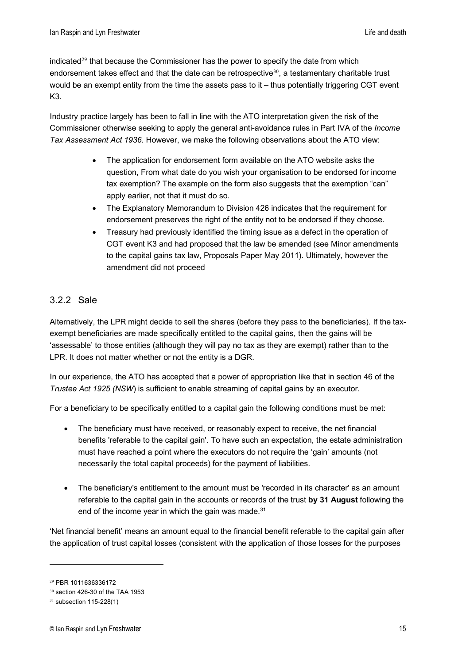indicated $29$  that because the Commissioner has the power to specify the date from which endorsement takes effect and that the date can be retrospective $30$ , a testamentary charitable trust would be an exempt entity from the time the assets pass to it – thus potentially triggering CGT event K3.

Industry practice largely has been to fall in line with the ATO interpretation given the risk of the Commissioner otherwise seeking to apply the general anti-avoidance rules in Part IVA of the *Income Tax Assessment Act 1936*. However, we make the following observations about the ATO view:

- The application for endorsement form available on the ATO website asks the question, From what date do you wish your organisation to be endorsed for income tax exemption? The example on the form also suggests that the exemption "can" apply earlier, not that it must do so.
- The Explanatory Memorandum to Division 426 indicates that the requirement for endorsement preserves the right of the entity not to be endorsed if they choose.
- Treasury had previously identified the timing issue as a defect in the operation of CGT event K3 and had proposed that the law be amended (see Minor amendments to the capital gains tax law, Proposals Paper May 2011). Ultimately, however the amendment did not proceed

#### <span id="page-14-0"></span>3.2.2 Sale

Alternatively, the LPR might decide to sell the shares (before they pass to the beneficiaries). If the taxexempt beneficiaries are made specifically entitled to the capital gains, then the gains will be 'assessable' to those entities (although they will pay no tax as they are exempt) rather than to the LPR. It does not matter whether or not the entity is a DGR.

In our experience, the ATO has accepted that a power of appropriation like that in section 46 of the *Trustee Act 1925 (NSW*) is sufficient to enable streaming of capital gains by an executor.

For a beneficiary to be specifically entitled to a capital gain the following conditions must be met:

- The beneficiary must have received, or reasonably expect to receive, the net financial benefits 'referable to the capital gain'. To have such an expectation, the estate administration must have reached a point where the executors do not require the 'gain' amounts (not necessarily the total capital proceeds) for the payment of liabilities.
- The beneficiary's entitlement to the amount must be 'recorded in its character' as an amount referable to the capital gain in the accounts or records of the trust **by 31 August** following the end of the income year in which the gain was made. $31$

'Net financial benefit' means an amount equal to the financial benefit referable to the capital gain after the application of trust capital losses (consistent with the application of those losses for the purposes

<span id="page-14-1"></span><sup>29</sup> PBR 1011636336172

<span id="page-14-2"></span><sup>30</sup> section 426-30 of the TAA 1953

<span id="page-14-3"></span> $31$  subsection 115-228(1)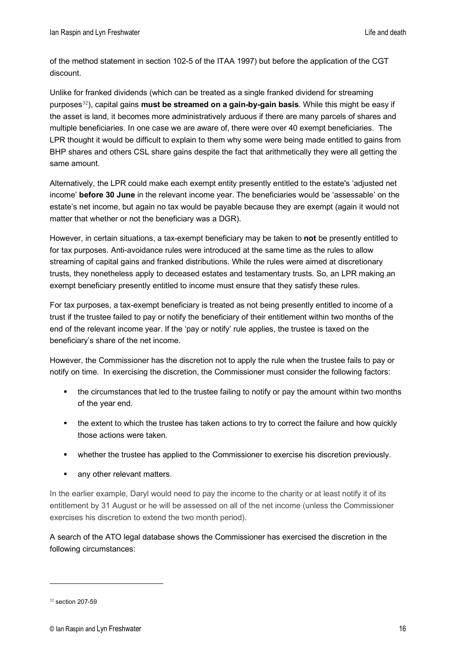of the method statement in section 102-5 of the ITAA 1997) but before the application of the CGT discount.

Unlike for franked dividends (which can be treated as a single franked dividend for streaming purposes[32](#page-15-0)), capital gains **must be streamed on a gain-by-gain basis**. While this might be easy if the asset is land, it becomes more administratively arduous if there are many parcels of shares and multiple beneficiaries. In one case we are aware of, there were over 40 exempt beneficiaries. The LPR thought it would be difficult to explain to them why some were being made entitled to gains from BHP shares and others CSL share gains despite the fact that arithmetically they were all getting the same amount.

Alternatively, the LPR could make each exempt entity presently entitled to the estate's 'adjusted net income' **before 30 June** in the relevant income year. The beneficiaries would be 'assessable' on the estate's net income, but again no tax would be payable because they are exempt (again it would not matter that whether or not the beneficiary was a DGR).

However, in certain situations, a tax-exempt beneficiary may be taken to **not** be presently entitled to for tax purposes. Anti-avoidance rules were introduced at the same time as the rules to allow streaming of capital gains and franked distributions. While the rules were aimed at discretionary trusts, they nonetheless apply to deceased estates and testamentary trusts. So, an LPR making an exempt beneficiary presently entitled to income must ensure that they satisfy these rules.

For tax purposes, a tax-exempt beneficiary is treated as not being presently entitled to income of a trust if the trustee failed to pay or notify the beneficiary of their entitlement within two months of the end of the relevant income year. If the 'pay or notify' rule applies, the trustee is taxed on the beneficiary's share of the net income.

However, the Commissioner has the discretion not to apply the rule when the trustee fails to pay or notify on time. In exercising the discretion, the Commissioner must consider the following factors:

- the circumstances that led to the trustee failing to notify or pay the amount within two months of the year end.
- the extent to which the trustee has taken actions to try to correct the failure and how quickly those actions were taken.
- whether the trustee has applied to the Commissioner to exercise his discretion previously.
- **any other relevant matters.**

In the earlier example, Daryl would need to pay the income to the charity or at least notify it of its entitlement by 31 August or he will be assessed on all of the net income (unless the Commissioner exercises his discretion to extend the two month period).

A search of the ATO legal database shows the Commissioner has exercised the discretion in the following circumstances:

<span id="page-15-0"></span><sup>32</sup> section 207-59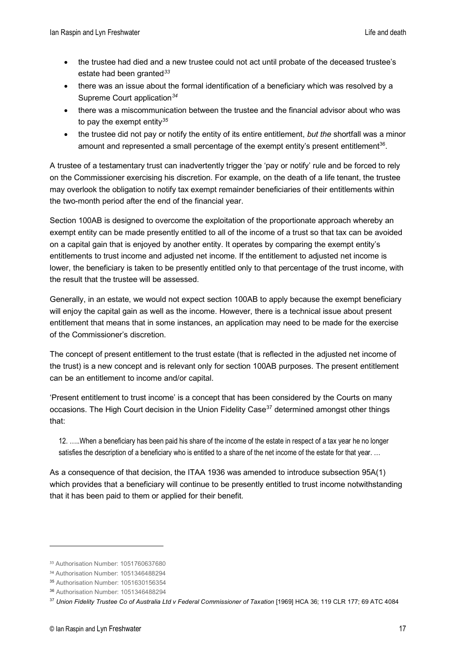- the trustee had died and a new trustee could not act until probate of the deceased trustee's estate had been granted*[33](#page-16-0)*
- there was an issue about the formal identification of a beneficiary which was resolved by a Supreme Court application*[34](#page-16-1)*
- there was a miscommunication between the trustee and the financial advisor about who was to pay the exempt entity*[35](#page-16-2)*
- the trustee did not pay or notify the entity of its entire entitlement, *but the* shortfall was a minor amount and represented a small percentage of the exempt entity's present entitlement<sup>[36](#page-16-3)</sup>.

A trustee of a testamentary trust can inadvertently trigger the 'pay or notify' rule and be forced to rely on the Commissioner exercising his discretion. For example, on the death of a life tenant, the trustee may overlook the obligation to notify tax exempt remainder beneficiaries of their entitlements within the two-month period after the end of the financial year.

Section 100AB is designed to overcome the exploitation of the proportionate approach whereby an exempt entity can be made presently entitled to all of the income of a trust so that tax can be avoided on a capital gain that is enjoyed by another entity. It operates by comparing the exempt entity's entitlements to trust income and adjusted net income. If the entitlement to adjusted net income is lower, the beneficiary is taken to be presently entitled only to that percentage of the trust income, with the result that the trustee will be assessed.

Generally, in an estate, we would not expect section 100AB to apply because the exempt beneficiary will enjoy the capital gain as well as the income. However, there is a technical issue about present entitlement that means that in some instances, an application may need to be made for the exercise of the Commissioner's discretion.

The concept of present entitlement to the trust estate (that is reflected in the adjusted net income of the trust) is a new concept and is relevant only for section 100AB purposes. The present entitlement can be an entitlement to income and/or capital.

'Present entitlement to trust income' is a concept that has been considered by the Courts on many occasions. The High Court decision in the Union Fidelity Case<sup>[37](#page-16-4)</sup> determined amongst other things that:

12. …..When a beneficiary has been paid his share of the income of the estate in respect of a tax year he no longer satisfies the description of a beneficiary who is entitled to a share of the net income of the estate for that year. ...

As a consequence of that decision, the ITAA 1936 was amended to introduce subsection 95A(1) which provides that a beneficiary will continue to be presently entitled to trust income notwithstanding that it has been paid to them or applied for their benefit.

<span id="page-16-0"></span><sup>33</sup> Authorisation Number: 1051760637680

<span id="page-16-1"></span><sup>34</sup> Authorisation Number: 1051346488294

<span id="page-16-2"></span><sup>35</sup> Authorisation Number: 1051630156354

<span id="page-16-3"></span><sup>36</sup> Authorisation Number: 1051346488294

<span id="page-16-4"></span><sup>&</sup>lt;sup>37</sup> [Union Fidelity Trustee Co of Australia Ltd v Federal Commissioner of Taxation](https://jade.io/article/66140) [1969] HCA 36; 119 CLR 177; 69 ATC 4084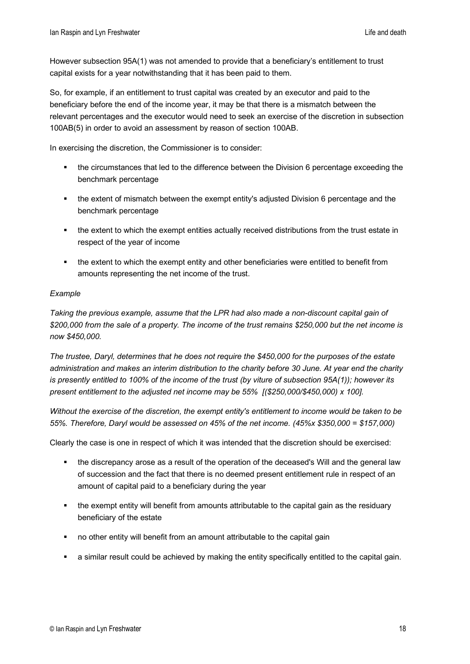However subsection 95A(1) was not amended to provide that a beneficiary's entitlement to trust capital exists for a year notwithstanding that it has been paid to them.

So, for example, if an entitlement to trust capital was created by an executor and paid to the beneficiary before the end of the income year, it may be that there is a mismatch between the relevant percentages and the executor would need to seek an exercise of the discretion in subsection 100AB(5) in order to avoid an assessment by reason of section 100AB.

In exercising the discretion, the Commissioner is to consider:

- **the circumstances that led to the difference between the Division 6 percentage exceeding the** benchmark percentage
- the extent of mismatch between the exempt entity's adjusted Division 6 percentage and the benchmark percentage
- the extent to which the exempt entities actually received distributions from the trust estate in respect of the year of income
- the extent to which the exempt entity and other beneficiaries were entitled to benefit from amounts representing the net income of the trust.

#### *Example*

*Taking the previous example, assume that the LPR had also made a non-discount capital gain of \$200,000 from the sale of a property. The income of the trust remains \$250,000 but the net income is now \$450,000.* 

*The trustee, Daryl, determines that he does not require the \$450,000 for the purposes of the estate administration and makes an interim distribution to the charity before 30 June. At year end the charity is presently entitled to 100% of the income of the trust (by viture of subsection 95A(1)); however its present entitlement to the adjusted net income may be 55% [(\$250,000/\$450,000) x 100].*

*Without the exercise of the discretion, the exempt entity's entitlement to income would be taken to be 55%. Therefore, Daryl would be assessed on 45% of the net income. (45%x \$350,000 = \$157,000)*

Clearly the case is one in respect of which it was intended that the discretion should be exercised:

- the discrepancy arose as a result of the operation of the deceased's Will and the general law of succession and the fact that there is no deemed present entitlement rule in respect of an amount of capital paid to a beneficiary during the year
- the exempt entity will benefit from amounts attributable to the capital gain as the residuary beneficiary of the estate
- no other entity will benefit from an amount attributable to the capital gain
- a similar result could be achieved by making the entity specifically entitled to the capital gain.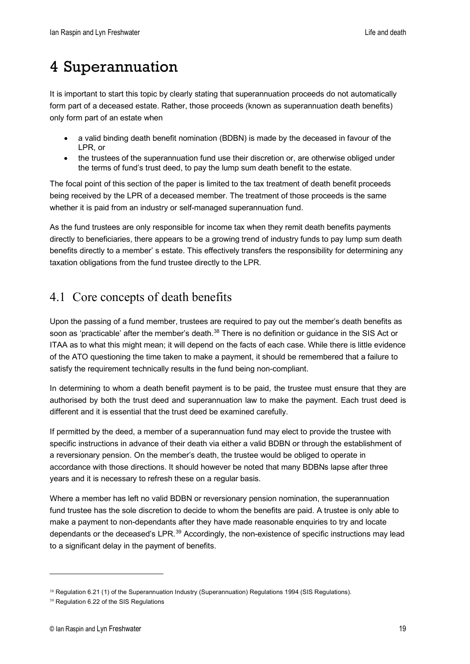# <span id="page-18-0"></span>4 Superannuation

It is important to start this topic by clearly stating that superannuation proceeds do not automatically form part of a deceased estate. Rather, those proceeds (known as superannuation death benefits) only form part of an estate when

- a valid binding death benefit nomination (BDBN) is made by the deceased in favour of the LPR, or
- the trustees of the superannuation fund use their discretion or, are otherwise obliged under the terms of fund's trust deed, to pay the lump sum death benefit to the estate.

The focal point of this section of the paper is limited to the tax treatment of death benefit proceeds being received by the LPR of a deceased member. The treatment of those proceeds is the same whether it is paid from an industry or self-managed superannuation fund.

As the fund trustees are only responsible for income tax when they remit death benefits payments directly to beneficiaries, there appears to be a growing trend of industry funds to pay lump sum death benefits directly to a member' s estate. This effectively transfers the responsibility for determining any taxation obligations from the fund trustee directly to the LPR.

# <span id="page-18-1"></span>4.1 Core concepts of death benefits

Upon the passing of a fund member, trustees are required to pay out the member's death benefits as soon as 'practicable' after the member's death.<sup>[38](#page-18-2)</sup> There is no definition or guidance in the SIS Act or ITAA as to what this might mean; it will depend on the facts of each case. While there is little evidence of the ATO questioning the time taken to make a payment, it should be remembered that a failure to satisfy the requirement technically results in the fund being non-compliant.

In determining to whom a death benefit payment is to be paid, the trustee must ensure that they are authorised by both the trust deed and superannuation law to make the payment. Each trust deed is different and it is essential that the trust deed be examined carefully.

If permitted by the deed, a member of a superannuation fund may elect to provide the trustee with specific instructions in advance of their death via either a valid BDBN or through the establishment of a reversionary pension. On the member's death, the trustee would be obliged to operate in accordance with those directions. It should however be noted that many BDBNs lapse after three years and it is necessary to refresh these on a regular basis.

Where a member has left no valid BDBN or reversionary pension nomination, the superannuation fund trustee has the sole discretion to decide to whom the benefits are paid. A trustee is only able to make a payment to non-dependants after they have made reasonable enquiries to try and locate dependants or the deceased's LPR.<sup>[39](#page-18-3)</sup> Accordingly, the non-existence of specific instructions may lead to a significant delay in the payment of benefits.

<span id="page-18-2"></span><sup>38</sup> Regulation 6.21 (1) of the Superannuation Industry (Superannuation) Regulations 1994 (SIS Regulations).

<span id="page-18-3"></span><sup>39</sup> Regulation 6.22 of the SIS Regulations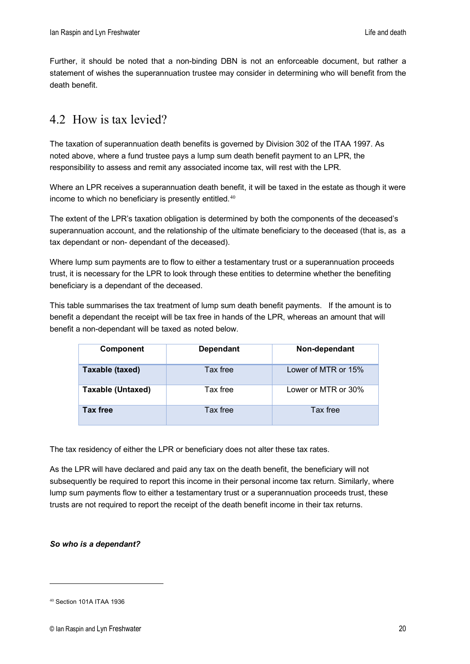Further, it should be noted that a non-binding DBN is not an enforceable document, but rather a statement of wishes the superannuation trustee may consider in determining who will benefit from the death benefit.

# <span id="page-19-0"></span>4.2 How is tax levied?

The taxation of superannuation death benefits is governed by Division 302 of the ITAA 1997. As noted above, where a fund trustee pays a lump sum death benefit payment to an LPR, the responsibility to assess and remit any associated income tax, will rest with the LPR.

Where an LPR receives a superannuation death benefit, it will be taxed in the estate as though it were income to which no beneficiary is presently entitled. [40](#page-19-1)

The extent of the LPR's taxation obligation is determined by both the components of the deceased's superannuation account, and the relationship of the ultimate beneficiary to the deceased (that is, as a tax dependant or non- dependant of the deceased).

Where lump sum payments are to flow to either a testamentary trust or a superannuation proceeds trust, it is necessary for the LPR to look through these entities to determine whether the benefiting beneficiary is a dependant of the deceased.

This table summarises the tax treatment of lump sum death benefit payments. If the amount is to benefit a dependant the receipt will be tax free in hands of the LPR, whereas an amount that will benefit a non-dependant will be taxed as noted below.

| Component                | <b>Dependant</b> | Non-dependant       |
|--------------------------|------------------|---------------------|
| Taxable (taxed)          | Tax free         | Lower of MTR or 15% |
| <b>Taxable (Untaxed)</b> | Tax free         | Lower or MTR or 30% |
| <b>Tax free</b>          | Tax free         | Tax free            |

The tax residency of either the LPR or beneficiary does not alter these tax rates.

As the LPR will have declared and paid any tax on the death benefit, the beneficiary will not subsequently be required to report this income in their personal income tax return. Similarly, where lump sum payments flow to either a testamentary trust or a superannuation proceeds trust, these trusts are not required to report the receipt of the death benefit income in their tax returns.

#### *So who is a dependant?*

<span id="page-19-1"></span><sup>40</sup> Section 101A ITAA 1936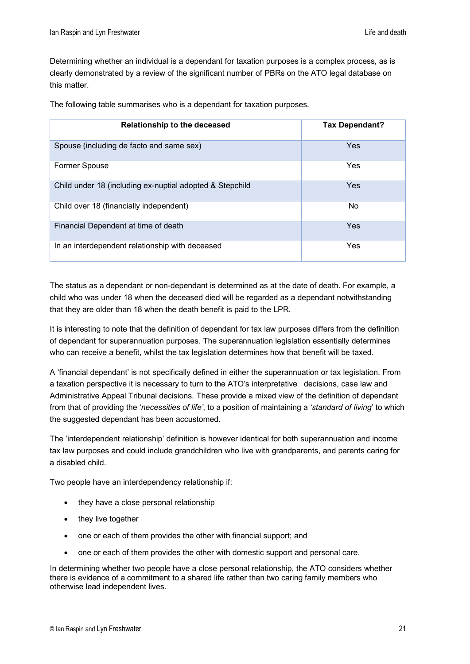Determining whether an individual is a dependant for taxation purposes is a complex process, as is clearly demonstrated by a review of the significant number of PBRs on the ATO legal database on this matter.

The following table summarises who is a dependant for taxation purposes.

| <b>Relationship to the deceased</b>                      | <b>Tax Dependant?</b> |
|----------------------------------------------------------|-----------------------|
| Spouse (including de facto and same sex)                 | Yes                   |
| <b>Former Spouse</b>                                     | Yes                   |
| Child under 18 (including ex-nuptial adopted & Stepchild | Yes                   |
| Child over 18 (financially independent)                  | <b>No</b>             |
| Financial Dependent at time of death                     | Yes                   |
| In an interdependent relationship with deceased          | Yes                   |

The status as a dependant or non-dependant is determined as at the date of death. For example, a child who was under 18 when the deceased died will be regarded as a dependant notwithstanding that they are older than 18 when the death benefit is paid to the LPR.

It is interesting to note that the definition of dependant for tax law purposes differs from the definition of dependant for superannuation purposes. The superannuation legislation essentially determines who can receive a benefit, whilst the tax legislation determines how that benefit will be taxed.

A 'financial dependant' is not specifically defined in either the superannuation or tax legislation. From a taxation perspective it is necessary to turn to the ATO's interpretative decisions, case law and Administrative Appeal Tribunal decisions. These provide a mixed view of the definition of dependant from that of providing the '*necessities of life'*, to a position of maintaining a *'standard of living*' to which the suggested dependant has been accustomed.

The 'interdependent relationship' definition is however identical for both superannuation and income tax law purposes and could include grandchildren who live with grandparents, and parents caring for a disabled child.

Two people have an interdependency relationship if:

- they have a close personal relationship
- they live together
- one or each of them provides the other with financial support; and
- one or each of them provides the other with domestic support and personal care.

In determining whether two people have a close personal relationship, the ATO considers whether there is evidence of a commitment to a shared life rather than two caring family members who otherwise lead independent lives.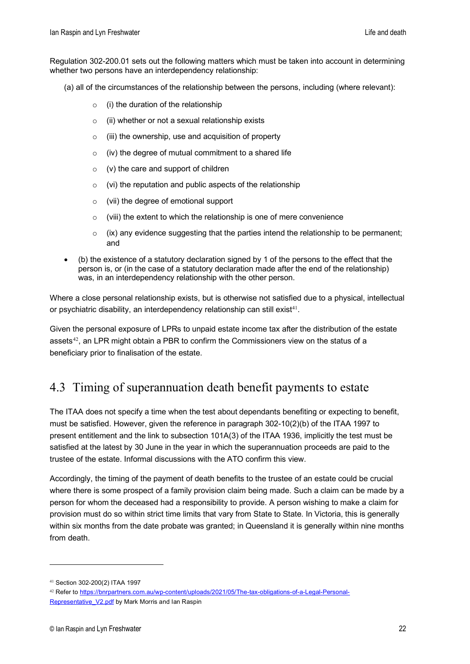Regulation 302-200.01 sets out the following matters which must be taken into account in determining whether two persons have an interdependency relationship:

- (a) all of the circumstances of the relationship between the persons, including (where relevant):
	- $\circ$  (i) the duration of the relationship
	- $\circ$  (ii) whether or not a sexual relationship exists
	- $\circ$  (iii) the ownership, use and acquisition of property
	- $\circ$  (iv) the degree of mutual commitment to a shared life
	- $\circ$  (v) the care and support of children
	- $\circ$  (vi) the reputation and public aspects of the relationship
	- o (vii) the degree of emotional support
	- $\circ$  (viii) the extent to which the relationship is one of mere convenience
	- $\circ$  (ix) any evidence suggesting that the parties intend the relationship to be permanent; and
- (b) the existence of a statutory declaration signed by 1 of the persons to the effect that the person is, or (in the case of a statutory declaration made after the end of the relationship) was, in an interdependency relationship with the other person.

Where a close personal relationship exists, but is otherwise not satisfied due to a physical, intellectual or psychiatric disability, an interdependency relationship can still exist<sup>[41](#page-21-1)</sup>.

Given the personal exposure of LPRs to unpaid estate income tax after the distribution of the estate assets $42$ , an LPR might obtain a PBR to confirm the Commissioners view on the status of a beneficiary prior to finalisation of the estate.

# <span id="page-21-0"></span>4.3 Timing of superannuation death benefit payments to estate

The ITAA does not specify a time when the test about dependants benefiting or expecting to benefit, must be satisfied. However, given the reference in paragraph 302-10(2)(b) of the ITAA 1997 to present entitlement and the link to subsection 101A(3) of the ITAA 1936, implicitly the test must be satisfied at the latest by 30 June in the year in which the superannuation proceeds are paid to the trustee of the estate. Informal discussions with the ATO confirm this view.

Accordingly, the timing of the payment of death benefits to the trustee of an estate could be crucial where there is some prospect of a family provision claim being made. Such a claim can be made by a person for whom the deceased had a responsibility to provide. A person wishing to make a claim for provision must do so within strict time limits that vary from State to State. In Victoria, this is generally within six months from the date probate was granted; in Queensland it is generally within nine months from death.

<span id="page-21-1"></span><sup>41</sup> Section 302-200(2) ITAA 1997

<span id="page-21-2"></span><sup>42</sup> Refer to [https://bnrpartners.com.au/wp-content/uploads/2021/05/The-tax-obligations-of-a-Legal-Personal-](https://bnrpartners.com.au/wp-content/uploads/2021/05/The-tax-obligations-of-a-Legal-Personal-Representative_V2.pdf)[Representative\\_V2.pdf](https://bnrpartners.com.au/wp-content/uploads/2021/05/The-tax-obligations-of-a-Legal-Personal-Representative_V2.pdf) by Mark Morris and Ian Raspin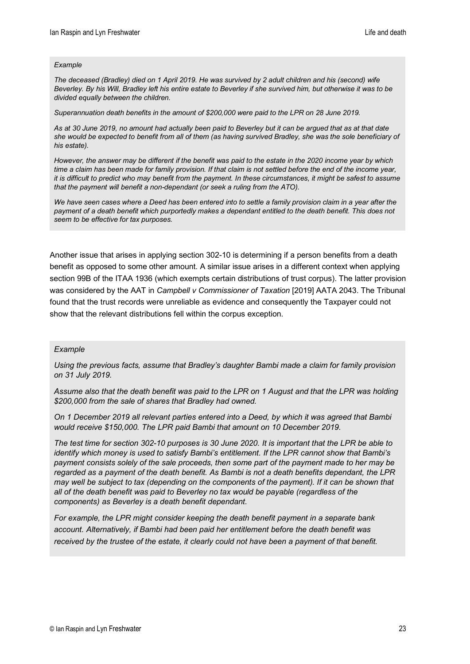#### *Example*

*The deceased (Bradley) died on 1 April 2019. He was survived by 2 adult children and his (second) wife Beverley. By his Will, Bradley left his entire estate to Beverley if she survived him, but otherwise it was to be divided equally between the children.*

*Superannuation death benefits in the amount of \$200,000 were paid to the LPR on 28 June 2019.* 

*As at 30 June 2019, no amount had actually been paid to Beverley but it can be argued that as at that date she would be expected to benefit from all of them (as having survived Bradley, she was the sole beneficiary of his estate).*

*However, the answer may be different if the benefit was paid to the estate in the 2020 income year by which time a claim has been made for family provision. If that claim is not settled before the end of the income year, it is difficult to predict who may benefit from the payment. In these circumstances, it might be safest to assume that the payment will benefit a non-dependant (or seek a ruling from the ATO).*

*We have seen cases where a Deed has been entered into to settle a family provision claim in a year after the payment of a death benefit which purportedly makes a dependant entitled to the death benefit. This does not seem to be effective for tax purposes.*

Another issue that arises in applying section 302-10 is determining if a person benefits from a death benefit as opposed to some other amount. A similar issue arises in a different context when applying section 99B of the ITAA 1936 (which exempts certain distributions of trust corpus). The latter provision was considered by the AAT in *Campbell v Commissioner of Taxation* [2019] AATA 2043. The Tribunal found that the trust records were unreliable as evidence and consequently the Taxpayer could not show that the relevant distributions fell within the corpus exception.

#### *Example*

*Using the previous facts, assume that Bradley's daughter Bambi made a claim for family provision on 31 July 2019.* 

*Assume also that the death benefit was paid to the LPR on 1 August and that the LPR was holding \$200,000 from the sale of shares that Bradley had owned.* 

*On 1 December 2019 all relevant parties entered into a Deed, by which it was agreed that Bambi would receive \$150,000. The LPR paid Bambi that amount on 10 December 2019.*

*The test time for section 302-10 purposes is 30 June 2020. It is important that the LPR be able to identify which money is used to satisfy Bambi's entitlement. If the LPR cannot show that Bambi's payment consists solely of the sale proceeds, then some part of the payment made to her may be regarded as a payment of the death benefit. As Bambi is not a death benefits dependant, the LPR may well be subject to tax (depending on the components of the payment). If it can be shown that all of the death benefit was paid to Beverley no tax would be payable (regardless of the components) as Beverley is a death benefit dependant.*

*For example, the LPR might consider keeping the death benefit payment in a separate bank account. Alternatively, if Bambi had been paid her entitlement before the death benefit was received by the trustee of the estate, it clearly could not have been a payment of that benefit.*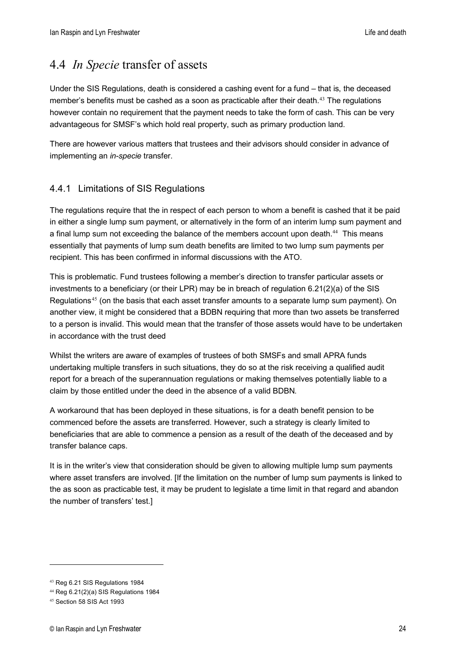## <span id="page-23-0"></span>4.4 *In Specie* transfer of assets

Under the SIS Regulations, death is considered a cashing event for a fund – that is, the deceased member's benefits must be cashed as a soon as practicable after their death.<sup>[43](#page-23-2)</sup> The regulations however contain no requirement that the payment needs to take the form of cash. This can be very advantageous for SMSF's which hold real property, such as primary production land.

There are however various matters that trustees and their advisors should consider in advance of implementing an *in-specie* transfer.

#### <span id="page-23-1"></span>4.4.1 Limitations of SIS Regulations

The regulations require that the in respect of each person to whom a benefit is cashed that it be paid in either a single lump sum payment, or alternatively in the form of an interim lump sum payment and a final lump sum not exceeding the balance of the members account upon death.<sup>[44](#page-23-3)</sup> This means essentially that payments of lump sum death benefits are limited to two lump sum payments per recipient. This has been confirmed in informal discussions with the ATO.

This is problematic. Fund trustees following a member's direction to transfer particular assets or investments to a beneficiary (or their LPR) may be in breach of regulation 6.21(2)(a) of the SIS Regulations<sup>[45](#page-23-4)</sup> (on the basis that each asset transfer amounts to a separate lump sum payment). On another view, it might be considered that a BDBN requiring that more than two assets be transferred to a person is invalid. This would mean that the transfer of those assets would have to be undertaken in accordance with the trust deed

Whilst the writers are aware of examples of trustees of both SMSFs and small APRA funds undertaking multiple transfers in such situations, they do so at the risk receiving a qualified audit report for a breach of the superannuation regulations or making themselves potentially liable to a claim by those entitled under the deed in the absence of a valid BDBN.

A workaround that has been deployed in these situations, is for a death benefit pension to be commenced before the assets are transferred. However, such a strategy is clearly limited to beneficiaries that are able to commence a pension as a result of the death of the deceased and by transfer balance caps.

It is in the writer's view that consideration should be given to allowing multiple lump sum payments where asset transfers are involved. [If the limitation on the number of lump sum payments is linked to the as soon as practicable test, it may be prudent to legislate a time limit in that regard and abandon the number of transfers' test.]

<span id="page-23-2"></span><sup>43</sup> Reg 6.21 SIS Regulations 1984

<span id="page-23-3"></span><sup>44</sup> Reg 6.21(2)(a) SIS Regulations 1984

<span id="page-23-4"></span><sup>45</sup> Section 58 SIS Act 1993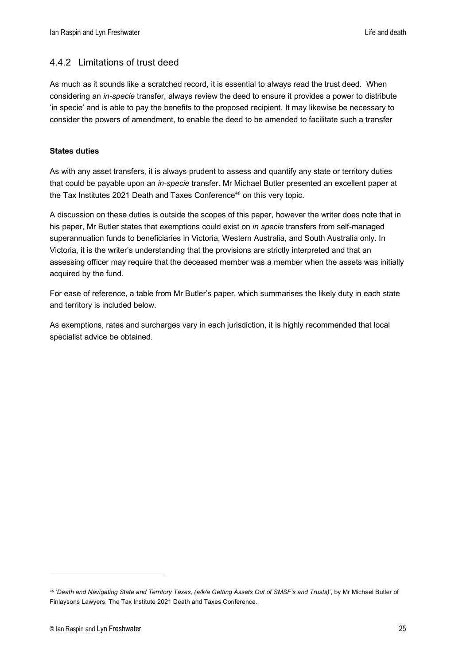#### <span id="page-24-0"></span>4.4.2 Limitations of trust deed

As much as it sounds like a scratched record, it is essential to always read the trust deed. When considering an *in-specie* transfer, always review the deed to ensure it provides a power to distribute 'in specie' and is able to pay the benefits to the proposed recipient. It may likewise be necessary to consider the powers of amendment, to enable the deed to be amended to facilitate such a transfer

#### **States duties**

As with any asset transfers, it is always prudent to assess and quantify any state or territory duties that could be payable upon an *in-specie* transfer. Mr Michael Butler presented an excellent paper at the Tax Institutes 2021 Death and Taxes Conference $46$  on this very topic.

A discussion on these duties is outside the scopes of this paper, however the writer does note that in his paper, Mr Butler states that exemptions could exist on *in specie* transfers from self-managed superannuation funds to beneficiaries in Victoria, Western Australia, and South Australia only. In Victoria, it is the writer's understanding that the provisions are strictly interpreted and that an assessing officer may require that the deceased member was a member when the assets was initially acquired by the fund.

For ease of reference, a table from Mr Butler's paper, which summarises the likely duty in each state and territory is included below.

As exemptions, rates and surcharges vary in each jurisdiction, it is highly recommended that local specialist advice be obtained.

<span id="page-24-1"></span><sup>46</sup> '*Death and Navigating State and Territory Taxes, (a/k/a Getting Assets Out of SMSF's and Trusts)*', by Mr Michael Butler of Finlaysons Lawyers, The Tax Institute 2021 Death and Taxes Conference.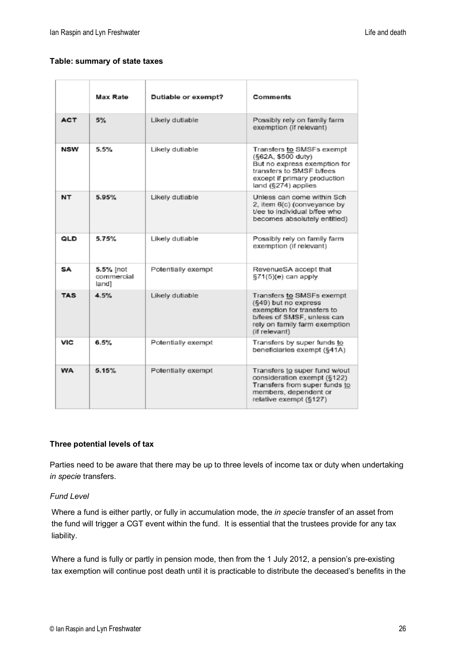#### **Table: summary of state taxes**

|            | Max Rate                         | Dutiable or exempt? | Comments                                                                                                                                                           |
|------------|----------------------------------|---------------------|--------------------------------------------------------------------------------------------------------------------------------------------------------------------|
| <b>ACT</b> | 5%                               | Likely dutiable     | Possibly rely on family farm<br>exemption (if relevant)                                                                                                            |
| NSW        | 5.5%                             | Likely dutiable     | Transfers to SMSFs exempt<br>(§62A, \$500 duty)<br>But no express exemption for<br>transfers to SMSF b/fees<br>except if primary production<br>land (§274) applies |
| NT         | 5.95%                            | Likely dutiable     | Unless can come within Sch<br>2, item 6(c) (conveyance by<br>t/ee to individual b/fee who<br>becomes absolutely entitled)                                          |
| QLD        | 5.75%                            | Likely dutiable     | Possibly rely on family farm<br>exemption (if relevant)                                                                                                            |
| SA         | 5.5% [not<br>commercial<br>land1 | Potentially exempt  | RevenueSA accept that<br>§71(5)(e) can apply                                                                                                                       |
| <b>TAS</b> | 4.5%                             | Likely dutiable     | Transfers to SMSFs exempt<br>(§49) but no express<br>exemption for transfers to<br>b/fees of SMSF, unless can<br>rely on family farm exemption<br>(if relevant)    |
| VIC        | 6.5%                             | Potentially exempt  | Transfers by super funds to<br>beneficiaries exempt (§41A)                                                                                                         |
| WA         | 5.15%                            | Potentially exempt  | Transfers to super fund w/out<br>consideration exempt (§122)<br>Transfers from super funds to<br>members, dependent or<br>relative exempt (§127)                   |

#### **Three potential levels of tax**

Parties need to be aware that there may be up to three levels of income tax or duty when undertaking *in specie* transfers.

#### *Fund Level*

Where a fund is either partly, or fully in accumulation mode, the *in specie* transfer of an asset from the fund will trigger a CGT event within the fund. It is essential that the trustees provide for any tax liability.

Where a fund is fully or partly in pension mode, then from the 1 July 2012, a pension's pre-existing tax exemption will continue post death until it is practicable to distribute the deceased's benefits in the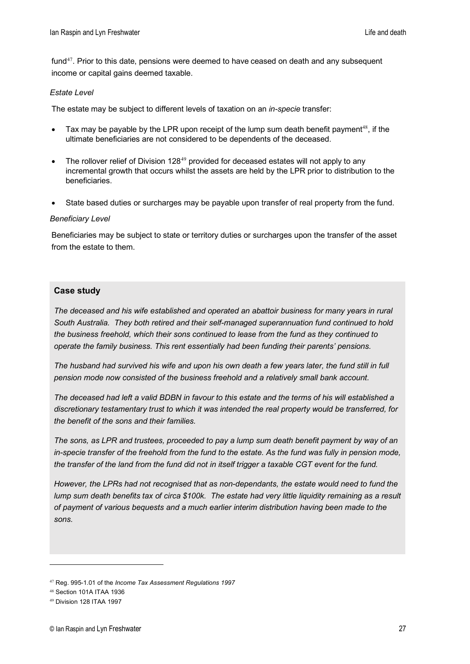fund $47$ . Prior to this date, pensions were deemed to have ceased on death and any subsequent income or capital gains deemed taxable.

#### *Estate Level*

The estate may be subject to different levels of taxation on an *in-specie* transfer:

- Tax may be payable by the LPR upon receipt of the lump sum death benefit payment<sup>[48](#page-26-1)</sup>, if the ultimate beneficiaries are not considered to be dependents of the deceased.
- The rollover relief of Division 128<sup>[49](#page-26-2)</sup> provided for deceased estates will not apply to any incremental growth that occurs whilst the assets are held by the LPR prior to distribution to the beneficiaries.
- State based duties or surcharges may be payable upon transfer of real property from the fund.

#### *Beneficiary Level*

Beneficiaries may be subject to state or territory duties or surcharges upon the transfer of the asset from the estate to them.

#### **Case study**

*The deceased and his wife established and operated an abattoir business for many years in rural South Australia. They both retired and their self-managed superannuation fund continued to hold the business freehold, which their sons continued to lease from the fund as they continued to operate the family business. This rent essentially had been funding their parents' pensions.* 

*The husband had survived his wife and upon his own death a few years later, the fund still in full pension mode now consisted of the business freehold and a relatively small bank account.* 

*The deceased had left a valid BDBN in favour to this estate and the terms of his will established a discretionary testamentary trust to which it was intended the real property would be transferred, for the benefit of the sons and their families.* 

*The sons, as LPR and trustees, proceeded to pay a lump sum death benefit payment by way of an in-specie transfer of the freehold from the fund to the estate. As the fund was fully in pension mode, the transfer of the land from the fund did not in itself trigger a taxable CGT event for the fund.* 

*However, the LPRs had not recognised that as non-dependants, the estate would need to fund the lump sum death benefits tax of circa \$100k. The estate had very little liquidity remaining as a result of payment of various bequests and a much earlier interim distribution having been made to the sons.* 

<span id="page-26-0"></span><sup>47</sup> Reg. 995-1.01 of the *Income Tax Assessment Regulations 1997*

<span id="page-26-1"></span><sup>48</sup> Section 101A ITAA 1936

<span id="page-26-2"></span><sup>49</sup> Division 128 ITAA 1997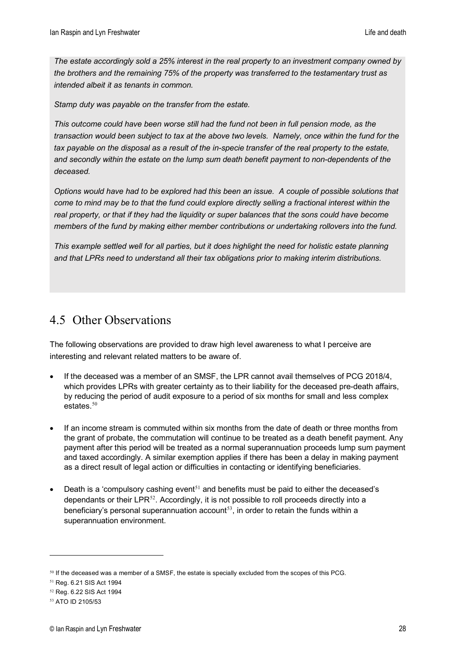*The estate accordingly sold a 25% interest in the real property to an investment company owned by the brothers and the remaining 75% of the property was transferred to the testamentary trust as intended albeit it as tenants in common.* 

*Stamp duty was payable on the transfer from the estate.* 

*This outcome could have been worse still had the fund not been in full pension mode, as the transaction would been subject to tax at the above two levels. Namely, once within the fund for the tax payable on the disposal as a result of the in-specie transfer of the real property to the estate, and secondly within the estate on the lump sum death benefit payment to non-dependents of the deceased.* 

*Options would have had to be explored had this been an issue. A couple of possible solutions that come to mind may be to that the fund could explore directly selling a fractional interest within the real property, or that if they had the liquidity or super balances that the sons could have become members of the fund by making either member contributions or undertaking rollovers into the fund.*

*This example settled well for all parties, but it does highlight the need for holistic estate planning and that LPRs need to understand all their tax obligations prior to making interim distributions.* 

# <span id="page-27-0"></span>4.5 Other Observations

The following observations are provided to draw high level awareness to what I perceive are interesting and relevant related matters to be aware of.

- If the deceased was a member of an SMSF, the LPR cannot avail themselves of PCG 2018/4, which provides LPRs with greater certainty as to their liability for the deceased pre-death affairs, by reducing the period of audit exposure to a period of six months for small and less complex estates. $50$
- If an income stream is commuted within six months from the date of death or three months from the grant of probate, the commutation will continue to be treated as a death benefit payment. Any payment after this period will be treated as a normal superannuation proceeds lump sum payment and taxed accordingly. A similar exemption applies if there has been a delay in making payment as a direct result of legal action or difficulties in contacting or identifying beneficiaries.
- Death is a 'compulsory cashing event<sup>[51](#page-27-2)</sup> and benefits must be paid to either the deceased's dependants or their LPR $^{52}$  $^{52}$  $^{52}$ . Accordingly, it is not possible to roll proceeds directly into a beneficiary's personal superannuation account<sup>[53](#page-27-4)</sup>, in order to retain the funds within a superannuation environment.

<span id="page-27-1"></span><sup>50</sup> If the deceased was a member of a SMSF, the estate is specially excluded from the scopes of this PCG.

<sup>51</sup> Reg. 6.21 SIS Act 1994

<span id="page-27-3"></span><span id="page-27-2"></span><sup>52</sup> Reg. 6.22 SIS Act 1994

<span id="page-27-4"></span><sup>53</sup> ATO ID 2105/53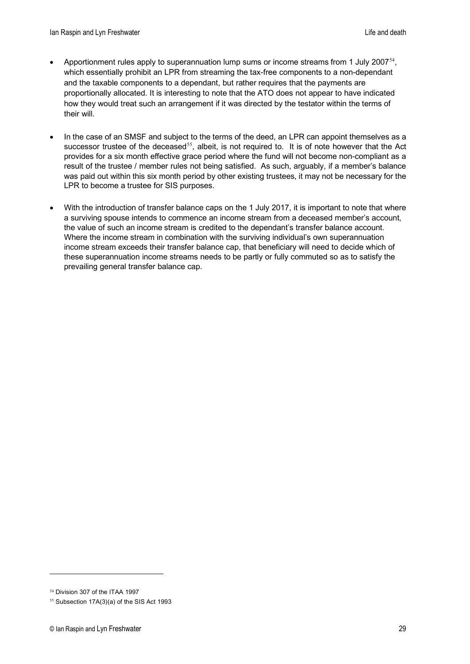- Apportionment rules apply to superannuation lump sums or income streams from 1 July 2007<sup>[54](#page-28-0)</sup>. which essentially prohibit an LPR from streaming the tax-free components to a non-dependant and the taxable components to a dependant, but rather requires that the payments are proportionally allocated. It is interesting to note that the ATO does not appear to have indicated how they would treat such an arrangement if it was directed by the testator within the terms of their will.
- In the case of an SMSF and subject to the terms of the deed, an LPR can appoint themselves as a successor trustee of the deceased<sup>[55](#page-28-1)</sup>, albeit, is not required to. It is of note however that the Act provides for a six month effective grace period where the fund will not become non-compliant as a result of the trustee / member rules not being satisfied. As such, arguably, if a member's balance was paid out within this six month period by other existing trustees, it may not be necessary for the LPR to become a trustee for SIS purposes.
- With the introduction of transfer balance caps on the 1 July 2017, it is important to note that where a surviving spouse intends to commence an income stream from a deceased member's account, the value of such an income stream is credited to the dependant's transfer balance account. Where the income stream in combination with the surviving individual's own superannuation income stream exceeds their transfer balance cap, that beneficiary will need to decide which of these superannuation income streams needs to be partly or fully commuted so as to satisfy the prevailing general transfer balance cap.

<sup>54</sup> Division 307 of the ITAA 1997

<span id="page-28-1"></span><span id="page-28-0"></span><sup>55</sup> Subsection 17A(3)(a) of the SIS Act 1993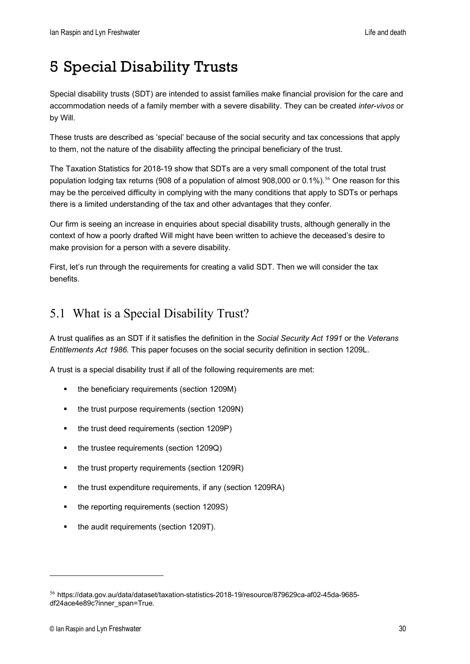# <span id="page-29-0"></span>5 Special Disability Trusts

Special disability trusts (SDT) are intended to assist families make financial provision for the care and accommodation needs of a family member with a severe disability. They can be created *inter-vivos* or by Will.

These trusts are described as 'special' because of the social security and tax concessions that apply to them, not the nature of the disability affecting the principal beneficiary of the trust.

The Taxation Statistics for 2018-19 show that SDTs are a very small component of the total trust population lodging tax returns (908 of a population of almost 908,000 or 0.1%).<sup>[56](#page-29-2)</sup> One reason for this may be the perceived difficulty in complying with the many conditions that apply to SDTs or perhaps there is a limited understanding of the tax and other advantages that they confer.

Our firm is seeing an increase in enquiries about special disability trusts, although generally in the context of how a poorly drafted Will might have been written to achieve the deceased's desire to make provision for a person with a severe disability.

First, let's run through the requirements for creating a valid SDT. Then we will consider the tax benefits.

# <span id="page-29-1"></span>5.1 What is a Special Disability Trust?

A trust qualifies as an SDT if it satisfies the definition in the *Social Security Act 1991* or the *Veterans Entitlements Act 1986.* This paper focuses on the social security definition in section 1209L.

A [trust](http://classic.austlii.edu.au/au/legis/cth/consol_act/ssa1991186/s1207a.html#trust) is a [special disability trust](http://classic.austlii.edu.au/au/legis/cth/consol_act/ssa1991186/s23.html#special_disability_trust) if all of the following requirements are met:

- the beneficiary requirements (section 1209M)
- the [trust](http://classic.austlii.edu.au/au/legis/cth/consol_act/ssa1991186/s1207a.html#trust) purpose requirements (section 1209N)
- the [trust](http://classic.austlii.edu.au/au/legis/cth/consol_act/ssa1991186/s1207a.html#trust) deed requirements (section 1209P)
- the [trustee](http://classic.austlii.edu.au/au/legis/cth/consol_act/ssa1991186/s1207a.html#trustee) requirements (section 1209Q)
- the [trust](http://classic.austlii.edu.au/au/legis/cth/consol_act/ssa1991186/s1207a.html#trust) [property](http://classic.austlii.edu.au/au/legis/cth/consol_act/ssa1991186/s1207a.html#property) requirements (section 1209R)
- the [trust](http://classic.austlii.edu.au/au/legis/cth/consol_act/ssa1991186/s1207a.html#trust) expenditure requirements, if any (section 1209RA)
- the reporting requirements (section 1209S)
- the audit requirements (section 1209T).

<span id="page-29-2"></span><sup>56</sup> https://data.gov.au/data/dataset/taxation-statistics-2018-19/resource/879629ca-af02-45da-9685 df24ace4e89c?inner\_span=True.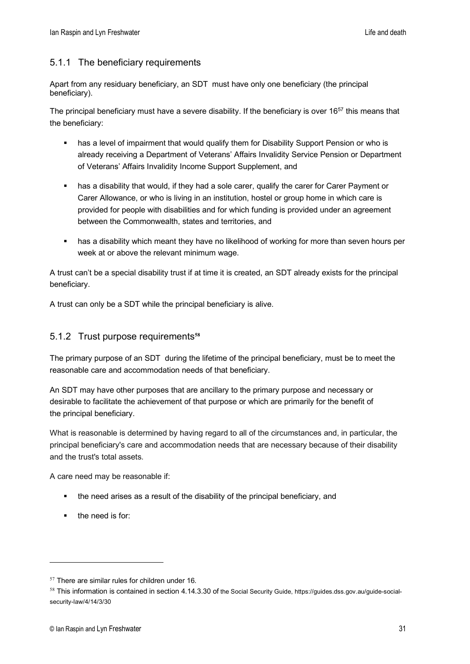#### <span id="page-30-0"></span>5.1.1 The beneficiary requirements

Apart from any residuary beneficiary, an SDT must have only one beneficiary (the [principal](http://classic.austlii.edu.au/au/legis/cth/consol_act/ssa1991186/s23.html#principal_beneficiary)  [beneficiary\)](http://classic.austlii.edu.au/au/legis/cth/consol_act/ssa1991186/s23.html#principal_beneficiary).

The principal beneficiary must have a severe disability. If the beneficiary is over  $16^{57}$  this means that the beneficiary:

- has a level of impairment that would qualify them for Disability Support Pension or who is already receiving a Department of Veterans' Affairs Invalidity Service Pension or Department of Veterans' Affairs Invalidity Income Support Supplement, and
- has a disability that would, if they had a sole carer, qualify the carer for Carer Payment or Carer Allowance, or who is living in an institution, hostel or group home in which care is provided for people with disabilities and for which funding is provided under an agreement between the Commonwealth, states and territories, and
- **has a disability which meant they have no likelihood of working for more than seven hours per** week at or above the relevant minimum wage.

A trust can't be a special disability trust if at time it is created, an SDT already exists for the principal beneficiary.

A trust can only be a SDT while the principal beneficiary is alive.

#### <span id="page-30-1"></span>5.1.2 Trust purpose requirements**[58](#page-30-3)**

The primary purpose of an SDT during the lifetime of the [principal beneficiary,](http://classic.austlii.edu.au/au/legis/cth/consol_act/ssa1991186/s23.html#principal_beneficiary) must be to meet the reasonable [care](http://classic.austlii.edu.au/au/legis/cth/consol_act/ssa1991186/s197.html#care) and accommodation needs of that beneficiary.

An SDT may have other purposes that are ancillary to the primary purpose and necessary or desirable to facilitate the achievement of that purpose or which are primarily for the benefit of the [principal beneficiary.](http://classic.austlii.edu.au/au/legis/cth/consol_act/ssa1991186/s23.html#principal_beneficiary)

What is reasonable is determined by having regard to all of the circumstances and, in particular, the principal beneficiary's care and accommodation needs that are necessary because of their disability and the trust's total assets.

A care need may be reasonable if:

- the need arises as a result of the disability of the principal beneficiary, and
- the need is for:

<span id="page-30-2"></span> $57$  There are similar rules for children under 16.

<span id="page-30-3"></span><sup>&</sup>lt;sup>58</sup> This information is contained in section 4.14.3.30 of the Social Security Guide, https://guides.dss.gov.au/guide-socialsecurity-law/4/14/3/30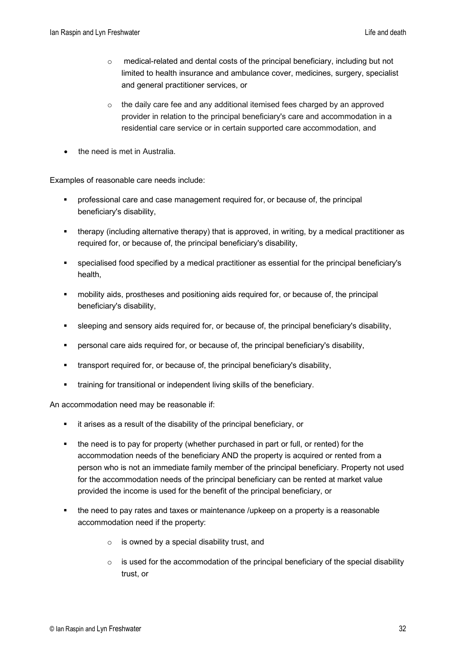- o medical-related and dental costs of the principal beneficiary, including but not limited to health insurance and ambulance cover, medicines, surgery, specialist and general practitioner services, or
- $\circ$  the daily care fee and any additional itemised fees charged by an approved provider in relation to the principal beneficiary's care and accommodation in a residential care service or in certain supported care accommodation, and
- the need is met in Australia.

Examples of reasonable care needs include:

- professional care and case management required for, or because of, the principal beneficiary's disability,
- therapy (including alternative therapy) that is approved, in writing, by a medical practitioner as required for, or because of, the principal beneficiary's disability,
- specialised food specified by a medical practitioner as essential for the principal beneficiary's health,
- mobility aids, prostheses and positioning aids required for, or because of, the principal beneficiary's disability,
- sleeping and sensory aids required for, or because of, the principal beneficiary's disability,
- personal care aids required for, or because of, the principal beneficiary's disability,
- transport required for, or because of, the principal beneficiary's disability,
- **training for transitional or independent living skills of the beneficiary.**

An accommodation need may be reasonable if:

- it arises as a result of the disability of the principal beneficiary, or
- the need is to pay for property (whether purchased in part or full, or rented) for the accommodation needs of the beneficiary AND the property is acquired or rented from a person who is not an immediate family member of the principal beneficiary. Property not used for the accommodation needs of the principal beneficiary can be rented at market value provided the income is used for the benefit of the principal beneficiary, or
- the need to pay rates and taxes or maintenance /upkeep on a property is a reasonable accommodation need if the property:
	- $\circ$  is owned by a special disability trust, and
	- $\circ$  is used for the accommodation of the principal beneficiary of the special disability trust, or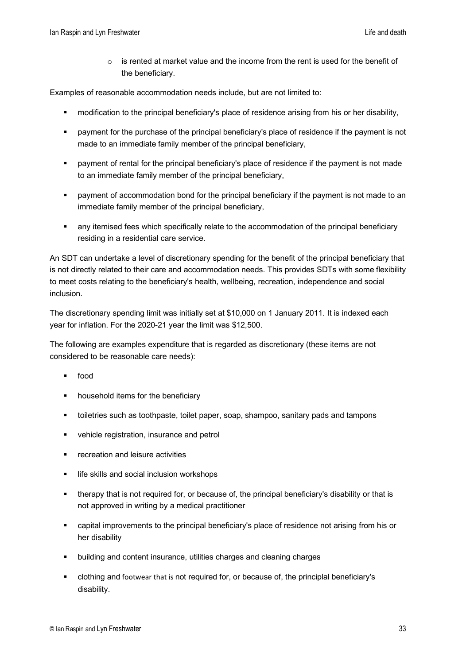is rented at market value and the income from the rent is used for the benefit of the beneficiary.

Examples of reasonable accommodation needs include, but are not limited to:

- modification to the principal beneficiary's place of residence arising from his or her disability,
- payment for the purchase of the principal beneficiary's place of residence if the payment is not made to an immediate family member of the principal beneficiary,
- payment of rental for the principal beneficiary's place of residence if the payment is not made to an immediate family member of the principal beneficiary,
- payment of accommodation bond for the principal beneficiary if the payment is not made to an immediate family member of the principal beneficiary,
- **EXECT** any itemised fees which specifically relate to the accommodation of the principal beneficiary residing in a residential care service.

An SDT can undertake a level of discretionary spending for the benefit of the principal beneficiary that is not directly related to their care and accommodation needs. This provides SDTs with some flexibility to meet costs relating to the beneficiary's health, wellbeing, recreation, independence and social inclusion.

The discretionary spending limit was initially set at \$10,000 on 1 January 2011. It is indexed each year for inflation. For the 2020-21 year the limit was \$12,500.

The following are examples expenditure that is regarded as discretionary (these items are not considered to be reasonable care needs):

- food
- **•** household items for the beneficiary
- toiletries such as toothpaste, toilet paper, soap, shampoo, sanitary pads and tampons
- vehicle registration, insurance and petrol
- **F** recreation and leisure activities
- life skills and social inclusion workshops
- therapy that is not required for, or because of, the principal beneficiary's disability or that is not approved in writing by a medical practitioner
- capital improvements to the principal beneficiary's place of residence not arising from his or her disability
- building and content insurance, utilities charges and cleaning charges
- clothing and footwear that is not required for, or because of, the principlal beneficiary's disability.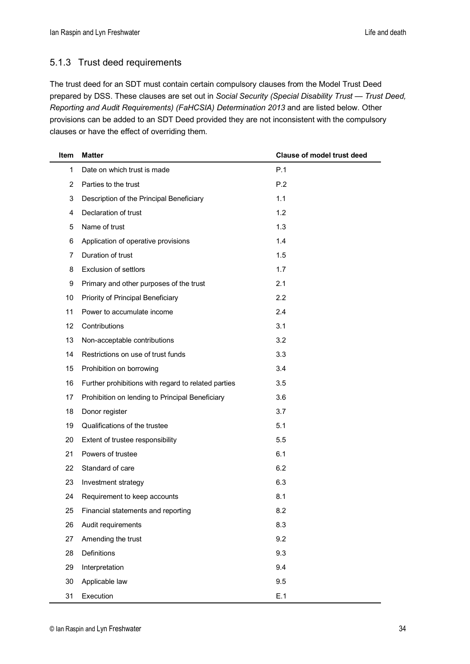#### <span id="page-33-0"></span>5.1.3 Trust deed requirements

The trust deed for an SDT must contain certain compulsory clauses from the Model Trust Deed prepared by DSS. These clauses are set out in *Social Security (Special Disability Trust — Trust Deed, Reporting and Audit Requirements) (FaHCSIA) Determination 2013* and are listed below. Other provisions can be added to an SDT Deed provided they are not inconsistent with the compulsory clauses or have the effect of overriding them.

| Item | <b>Matter</b>                                       | <b>Clause of model trust deed</b> |
|------|-----------------------------------------------------|-----------------------------------|
| 1    | Date on which trust is made                         | P.1                               |
| 2    | Parties to the trust                                | P.2                               |
| 3    | Description of the Principal Beneficiary            | 1.1                               |
| 4    | Declaration of trust                                | 1.2                               |
| 5    | Name of trust                                       | 1.3                               |
| 6    | Application of operative provisions                 | 1.4                               |
| 7    | Duration of trust                                   | 1.5                               |
| 8    | <b>Exclusion of settlors</b>                        | 1.7                               |
| 9    | Primary and other purposes of the trust             | 2.1                               |
| 10   | Priority of Principal Beneficiary                   | 2.2                               |
| 11   | Power to accumulate income                          | 2.4                               |
| 12   | Contributions                                       | 3.1                               |
| 13   | Non-acceptable contributions                        | 3.2                               |
| 14   | Restrictions on use of trust funds                  | 3.3                               |
| 15   | Prohibition on borrowing                            | 3.4                               |
| 16   | Further prohibitions with regard to related parties | 3.5                               |
| 17   | Prohibition on lending to Principal Beneficiary     | 3.6                               |
| 18   | Donor register                                      | 3.7                               |
| 19   | Qualifications of the trustee                       | 5.1                               |
| 20   | Extent of trustee responsibility                    | 5.5                               |
| 21   | Powers of trustee                                   | 6.1                               |
| 22   | Standard of care                                    | 6.2                               |
| 23   | Investment strategy                                 | 6.3                               |
| 24   | Requirement to keep accounts                        | 8.1                               |
| 25   | Financial statements and reporting                  | 8.2                               |
| 26   | Audit requirements                                  | 8.3                               |
| 27   | Amending the trust                                  | 9.2                               |
| 28   | <b>Definitions</b>                                  | 9.3                               |
| 29   | Interpretation                                      | 9.4                               |
| 30   | Applicable law                                      | 9.5                               |
| 31   | Execution                                           | E.1                               |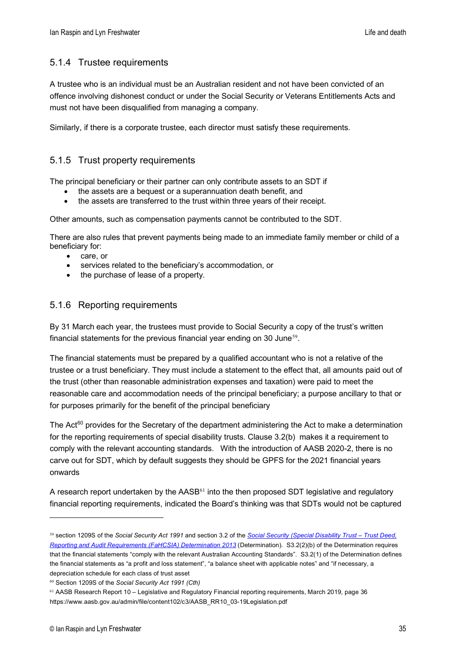#### <span id="page-34-0"></span>5.1.4 Trustee requirements

A trustee who is an individual must be an Australian resident and not have been convicted of an offence involving dishonest conduct or under the Social Security or Veterans Entitlements Acts and must not have been disqualified from managing a company.

Similarly, if there is a corporate trustee, each director must satisfy these requirements.

#### <span id="page-34-1"></span>5.1.5 Trust property requirements

The principal beneficiary or their partner can only contribute assets to an SDT if

- the assets are a bequest or a superannuation death benefit, and
- the assets are transferred to the trust within three years of their receipt.

Other amounts, such as compensation payments cannot be contributed to the SDT.

There are also rules that prevent payments being made to an immediate family member or child of a beneficiary for:

- care, or
- services related to the beneficiary's accommodation, or
- <span id="page-34-2"></span>the purchase of lease of a property.

#### 5.1.6 Reporting requirements

By 31 March each year, the [trustees](http://classic.austlii.edu.au/au/legis/cth/consol_act/ssa1991186/s1207a.html#trustee) must provide to Social Security a copy of the trust's written financial statements for the previous financial [year](http://classic.austlii.edu.au/au/legis/cth/consol_act/ssa1991186/s19ab.html#year) ending on 30 June<sup>[59](#page-34-3)</sup>.

The financial statements must be prepared by a qualified accountant who is not a relative of the trustee or a trust beneficiary. They must include a statement to the effect that, all amounts paid out of the trust (other than reasonable administration expenses and taxation) were paid to meet the reasonable care and accommodation needs of the principal beneficiary; a purpose ancillary to that or for purposes primarily for the benefit of the principal beneficiary

The Act<sup>[60](#page-34-4)</sup> provides for the Secretary of the department administering the Act to make a determination for the reporting requirements of special disability trusts. Clause 3.2(b) makes it a requirement to comply with the relevant accounting standards. With the introduction of AASB 2020-2, there is no carve out for SDT, which by default suggests they should be GPFS for the 2021 financial years onwards

A research report undertaken by the AASB<sup>[61](#page-34-5)</sup> into the then proposed SDT legislative and regulatory financial reporting requirements, indicated the Board's thinking was that SDTs would not be captured

<span id="page-34-3"></span><sup>59</sup> section 1209S of the *Social Security Act 1991* and section 3.2 of the *[Social Security \(Special Disability Trust –](https://www.legislation.gov.au/Details/F2013L01026) Trust Deed, [Reporting and Audit Requirements \(FaHCSIA\) Determination 2013](https://www.legislation.gov.au/Details/F2013L01026)* (Determination). S3.2(2)(b) of the Determination requires that the financial statements "comply with the relevant Australian Accounting Standards". S3.2(1) of the Determination defines the financial statements as "a profit and loss statement", "a balance sheet with applicable notes" and "if necessary, a depreciation schedule for each class of trust asset

<span id="page-34-4"></span><sup>60</sup> Section 1209S of the *Social Security Act 1991 (Cth)*

<span id="page-34-5"></span><sup>61</sup> AASB Research Report 10 – Legislative and Regulatory Financial reporting requirements, March 2019, page 36 https://www.aasb.gov.au/admin/file/content102/c3/AASB\_RR10\_03-19Legislation.pdf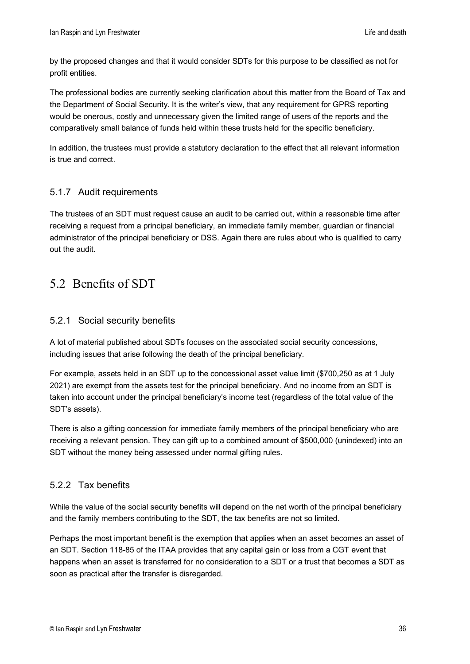by the proposed changes and that it would consider SDTs for this purpose to be classified as not for profit entities.

The professional bodies are currently seeking clarification about this matter from the Board of Tax and the Department of Social Security. It is the writer's view, that any requirement for GPRS reporting would be onerous, costly and unnecessary given the limited range of users of the reports and the comparatively small balance of funds held within these trusts held for the specific beneficiary.

In addition, the trustees must provide a statutory declaration to the effect that all relevant information is true and correct.

#### <span id="page-35-0"></span>5.1.7 Audit requirements

The trustees of an SDT must request cause an audit to be carried out, within a reasonable time after receiving a request from a principal beneficiary, an immediate family member, guardian or financial administrator of the principal beneficiary or DSS. Again there are rules about who is qualified to carry out the audit.

## <span id="page-35-1"></span>5.2 Benefits of SDT

#### <span id="page-35-2"></span>5.2.1 Social security benefits

A lot of material published about SDTs focuses on the associated social security concessions, including issues that arise following the death of the principal beneficiary.

For example, assets held in an SDT up to the concessional asset value limit (\$700,250 as at 1 July 2021) are exempt from the assets test for the principal beneficiary. And no income from an SDT is taken into account under the principal beneficiary's income test (regardless of the total value of the SDT's assets).

There is also a gifting concession for immediate family members of the principal beneficiary who are receiving a relevant pension. They can gift up to a combined amount of \$500,000 (unindexed) into an SDT without the money being assessed under normal gifting rules.

#### <span id="page-35-3"></span>5.2.2 Tax benefits

While the value of the social security benefits will depend on the net worth of the principal beneficiary and the family members contributing to the SDT, the tax benefits are not so limited.

Perhaps the most important benefit is the exemption that applies when an asset becomes an asset of an SDT. Section 118-85 of the ITAA provides that any capital gain or loss from a CGT event that happens when an asset is transferred for no consideration to a SDT or a trust that becomes a SDT as soon as practical after the transfer is disregarded.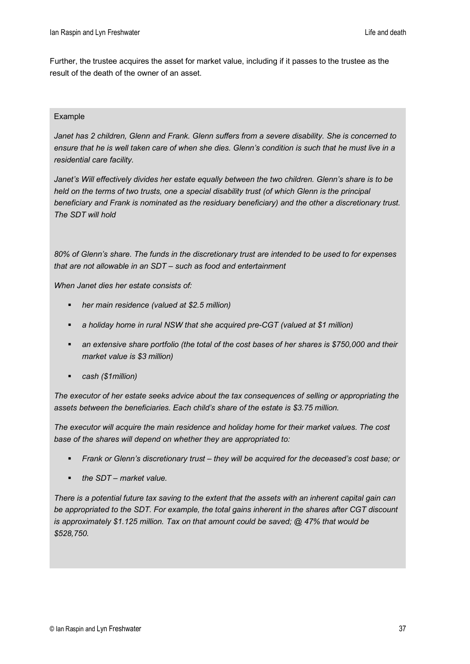Further, the trustee acquires the asset for market value, including if it passes to the trustee as the result of the death of the owner of an asset.

#### Example

*Janet has 2 children, Glenn and Frank. Glenn suffers from a severe disability. She is concerned to ensure that he is well taken care of when she dies. Glenn's condition is such that he must live in a residential care facility.*

*Janet's Will effectively divides her estate equally between the two children. Glenn's share is to be*  held on the terms of two trusts, one a special disability trust (of which Glenn is the principal *beneficiary and Frank is nominated as the residuary beneficiary) and the other a discretionary trust. The SDT will hold*

*80% of Glenn's share. The funds in the discretionary trust are intended to be used to for expenses that are not allowable in an SDT – such as food and entertainment*

*When Janet dies her estate consists of:*

- *her main residence (valued at \$2.5 million)*
- *a holiday home in rural NSW that she acquired pre-CGT (valued at \$1 million)*
- *an extensive share portfolio (the total of the cost bases of her shares is \$750,000 and their market value is \$3 million)*
- *cash (\$1million)*

*The executor of her estate seeks advice about the tax consequences of selling or appropriating the assets between the beneficiaries. Each child's share of the estate is \$3.75 million.*

*The executor will acquire the main residence and holiday home for their market values. The cost base of the shares will depend on whether they are appropriated to:*

- *Frank or Glenn's discretionary trust – they will be acquired for the deceased's cost base; or*
- *the SDT – market value.*

*There is a potential future tax saving to the extent that the assets with an inherent capital gain can be appropriated to the SDT. For example, the total gains inherent in the shares after CGT discount is approximately \$1.125 million. Tax on that amount could be saved; @ 47% that would be \$528,750.*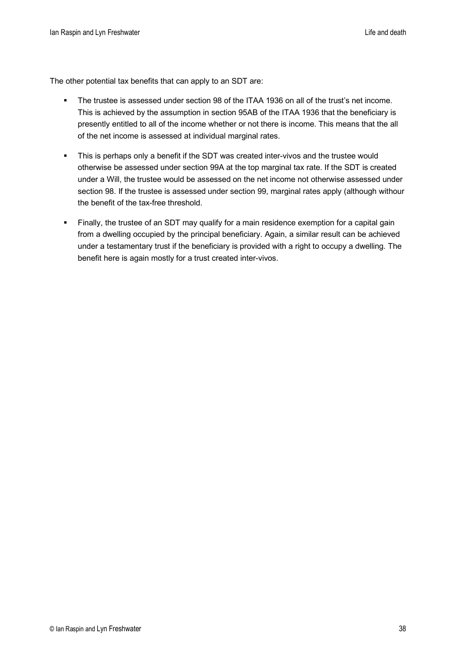The other potential tax benefits that can apply to an SDT are:

- The trustee is assessed under section 98 of the ITAA 1936 on all of the trust's net income. This is achieved by the assumption in section 95AB of the ITAA 1936 that the beneficiary is presently entitled to all of the income whether or not there is income. This means that the all of the net income is assessed at individual marginal rates.
- This is perhaps only a benefit if the SDT was created inter-vivos and the trustee would otherwise be assessed under section 99A at the top marginal tax rate. If the SDT is created under a Will, the trustee would be assessed on the net income not otherwise assessed under section 98. If the trustee is assessed under section 99, marginal rates apply (although withour the benefit of the tax-free threshold.
- Finally, the trustee of an SDT may qualify for a main residence exemption for a capital gain from a dwelling occupied by the principal beneficiary. Again, a similar result can be achieved under a testamentary trust if the beneficiary is provided with a right to occupy a dwelling. The benefit here is again mostly for a trust created inter-vivos.